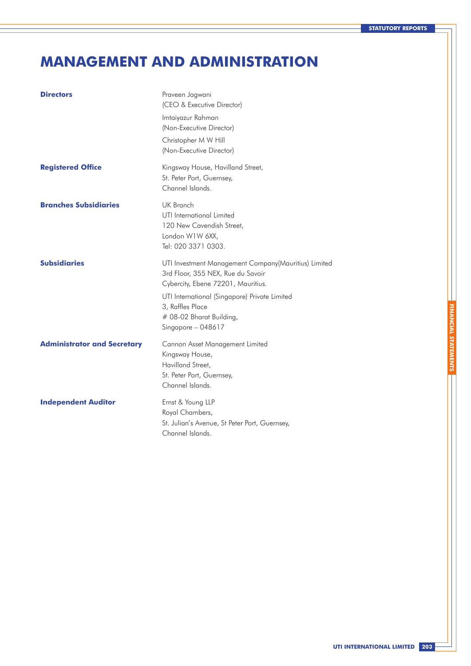# **MANAGEMENT AND ADMINISTRATION**

| <b>Directors</b>                   | Praveen Jagwani<br>(CEO & Executive Director)<br>Imtaiyazur Rahman<br>(Non-Executive Director)<br>Christopher M W Hill<br>(Non-Executive Director)                                                                                                     |
|------------------------------------|--------------------------------------------------------------------------------------------------------------------------------------------------------------------------------------------------------------------------------------------------------|
| <b>Registered Office</b>           | Kingsway House, Havilland Street,<br>St. Peter Port, Guernsey,<br>Channel Islands.                                                                                                                                                                     |
| <b>Branches Subsidiaries</b>       | UK Branch<br>UTI International Limited<br>120 New Cavendish Street,<br>London W1W 6XX,<br>Tel: 020 3371 0303.                                                                                                                                          |
| <b>Subsidiaries</b>                | UTI Investment Management Company(Mauritius) Limited<br>3rd Floor, 355 NEX, Rue du Savoir<br>Cybercity, Ebene 72201, Mauritius.<br>UTI International (Singapore) Private Limited<br>3, Raffles Place<br># 08-02 Bharat Building,<br>Singapore - 048617 |
| <b>Administrator and Secretary</b> | Cannon Asset Management Limited<br>Kingsway House,<br>Havilland Street,<br>St. Peter Port, Guernsey,<br>Channel Islands.                                                                                                                               |
| <b>Independent Auditor</b>         | Ernst & Young LLP<br>Royal Chambers,<br>St. Julian's Avenue, St Peter Port, Guernsey,<br>Channel Islands.                                                                                                                                              |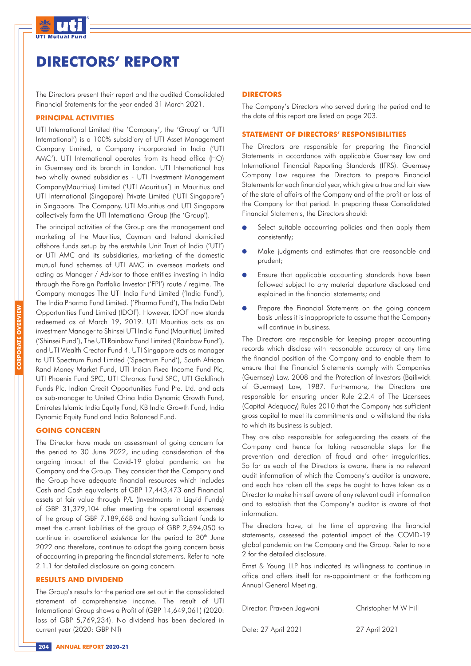

# **DIRECTORS' REPORT**

The Directors present their report and the audited Consolidated Financial Statements for the year ended 31 March 2021.

#### **PRINCIPAL ACTIVITIES**

UTI International Limited (the 'Company', the 'Group' or 'UTI International') is a 100% subsidiary of UTI Asset Management Company Limited, a Company incorporated in India ('UTI AMC'). UTI International operates from its head office (HO) in Guernsey and its branch in London. UTI International has two wholly owned subsidiaries - UTI Investment Management Company(Mauritius) Limited ('UTI Mauritius') in Mauritius and UTI International (Singapore) Private Limited ('UTI Singapore') in Singapore. The Company, UTI Mauritius and UTI Singapore collectively form the UTI International Group (the 'Group').

The principal activities of the Group are the management and marketing of the Mauritius, Cayman and Ireland domiciled offshore funds setup by the erstwhile Unit Trust of India ('UTI') or UTI AMC and its subsidiaries, marketing of the domestic mutual fund schemes of UTI AMC in overseas markets and acting as Manager / Advisor to those entities investing in India through the Foreign Portfolio Investor ('FPI') route / regime. The Company manages The UTI India Fund Limited ('India Fund'), The India Pharma Fund Limited. ('Pharma Fund'), The India Debt Opportunities Fund Limited (IDOF). However, IDOF now stands redeemed as of March 19, 2019. UTI Mauritius acts as an investment Manager to Shinsei UTI India Fund (Mauritius) Limited ('Shinsei Fund'), The UTI Rainbow Fund Limited ('Rainbow Fund'), and UTI Wealth Creator Fund 4. UTI Singapore acts as manager to UTI Spectrum Fund Limited ('Spectrum Fund'), South African Rand Money Market Fund, UTI Indian Fixed Income Fund Plc, UTI Phoenix Fund SPC, UTI Chronos Fund SPC, UTI Goldfinch Funds Plc, Indian Credit Opportunities Fund Pte. Ltd. and acts as sub-manager to United China India Dynamic Growth Fund, Emirates Islamic India Equity Fund, KB India Growth Fund, India Dynamic Equity Fund and India Balanced Fund.

#### **GOING CONCERN**

**CORPORATE OVERVIEW**

The Director have made an assessment of going concern for the period to 30 June 2022, including consideration of the ongoing impact of the Covid-19 global pandemic on the Company and the Group. They consider that the Company and the Group have adequate financial resources which includes Cash and Cash equivalents of GBP 17,443,473 and Financial assets at fair value through P/L (Investments in Liquid Funds) of GBP 31,379,104 after meeting the operational expenses of the group of GBP 7,189,668 and having sufficient funds to meet the current liabilities of the group of GBP 2,594,050 to continue in operational existence for the period to  $30<sup>th</sup>$  June 2022 and therefore, continue to adopt the going concern basis of accounting in preparing the financial statements. Refer to note 2.1.1 for detailed disclosure on going concern.

#### **RESULTS AND DIVIDEND**

The Group's results for the period are set out in the consolidated statement of comprehensive income. The result of UTI International Group shows a Profit of (GBP 14,649,061) (2020: loss of GBP 5,769,234). No dividend has been declared in current year (2020: GBP Nil)

#### **DIRECTORS**

The Company's Directors who served during the period and to the date of this report are listed on page 203.

#### **STATEMENT OF DIRECTORS' RESPONSIBILITIES**

The Directors are responsible for preparing the Financial Statements in accordance with applicable Guernsey law and International Financial Reporting Standards (IFRS). Guernsey Company Law requires the Directors to prepare Financial Statements for each financial year, which give a true and fair view of the state of affairs of the Company and of the profit or loss of the Company for that period. In preparing these Consolidated Financial Statements, the Directors should:

- Select suitable accounting policies and then apply them consistently;
- Make judgments and estimates that are reasonable and prudent;
- Ensure that applicable accounting standards have been followed subject to any material departure disclosed and explained in the financial statements; and
- Prepare the Financial Statements on the going concern basis unless it is inappropriate to assume that the Company will continue in business.

The Directors are responsible for keeping proper accounting records which disclose with reasonable accuracy at any time the financial position of the Company and to enable them to ensure that the Financial Statements comply with Companies (Guernsey) Law, 2008 and the Protection of Investors (Bailiwick of Guernsey) Law, 1987. Furthermore, the Directors are responsible for ensuring under Rule 2.2.4 of The Licensees (Capital Adequacy) Rules 2010 that the Company has sufficient gross capital to meet its commitments and to withstand the risks to which its business is subject.

They are also responsible for safeguarding the assets of the Company and hence for taking reasonable steps for the prevention and detection of fraud and other irregularities. So far as each of the Directors is aware, there is no relevant audit information of which the Company's auditor is unaware, and each has taken all the steps he ought to have taken as a Director to make himself aware of any relevant audit information and to establish that the Company's auditor is aware of that information.

The directors have, at the time of approving the financial statements, assessed the potential impact of the COVID-19 global pandemic on the Company and the Group. Refer to note 2 for the detailed disclosure.

Ernst & Young LLP has indicated its willingness to continue in office and offers itself for re-appointment at the forthcoming Annual General Meeting.

| Director: Praveen Jagwani | Christopher M W Hill |
|---------------------------|----------------------|
|                           |                      |

Date: 27 April 2021 27 April 2021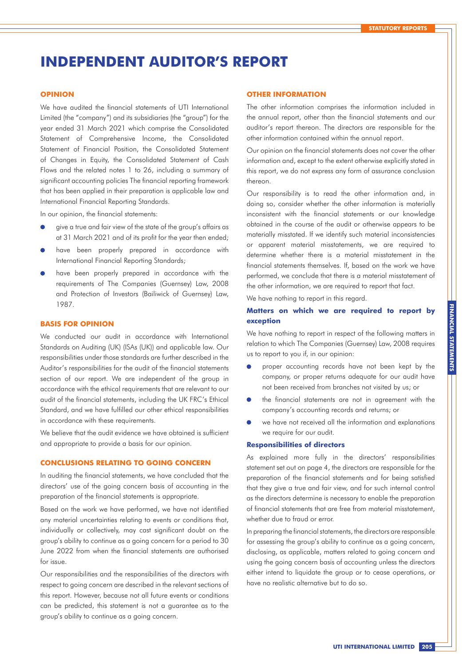# **INDEPENDENT AUDITOR'S REPORT**

#### **OPINION**

We have audited the financial statements of UTI International Limited (the "company") and its subsidiaries (the "group") for the year ended 31 March 2021 which comprise the Consolidated Statement of Comprehensive Income, the Consolidated Statement of Financial Position, the Consolidated Statement of Changes in Equity, the Consolidated Statement of Cash Flows and the related notes 1 to 26, including a summary of significant accounting policies The financial reporting framework that has been applied in their preparation is applicable law and International Financial Reporting Standards.

In our opinion, the financial statements:

- give a true and fair view of the state of the group's affairs as at 31 March 2021 and of its profit for the year then ended;
- have been properly prepared in accordance with International Financial Reporting Standards;
- have been properly prepared in accordance with the requirements of The Companies (Guernsey) Law, 2008 and Protection of Investors (Bailiwick of Guernsey) Law, 1987.

#### **BASIS FOR OPINION**

We conducted our audit in accordance with International Standards on Auditing (UK) (ISAs (UK)) and applicable law. Our responsibilities under those standards are further described in the Auditor's responsibilities for the audit of the financial statements section of our report. We are independent of the group in accordance with the ethical requirements that are relevant to our audit of the financial statements, including the UK FRC's Ethical Standard, and we have fulfilled our other ethical responsibilities in accordance with these requirements.

We believe that the audit evidence we have obtained is sufficient and appropriate to provide a basis for our opinion.

### **CONCLUSIONS RELATING TO GOING CONCERN**

In auditing the financial statements, we have concluded that the directors' use of the going concern basis of accounting in the preparation of the financial statements is appropriate.

Based on the work we have performed, we have not identified any material uncertainties relating to events or conditions that, individually or collectively, may cast significant doubt on the group's ability to continue as a going concern for a period to 30 June 2022 from when the financial statements are authorised for issue.

Our responsibilities and the responsibilities of the directors with respect to going concern are described in the relevant sections of this report. However, because not all future events or conditions can be predicted, this statement is not a guarantee as to the group's ability to continue as a going concern.

#### **OTHER INFORMATION**

The other information comprises the information included in the annual report, other than the financial statements and our auditor's report thereon. The directors are responsible for the other information contained within the annual report.

Our opinion on the financial statements does not cover the other information and, except to the extent otherwise explicitly stated in this report, we do not express any form of assurance conclusion thereon.

Our responsibility is to read the other information and, in doing so, consider whether the other information is materially inconsistent with the financial statements or our knowledge obtained in the course of the audit or otherwise appears to be materially misstated. If we identify such material inconsistencies or apparent material misstatements, we are required to determine whether there is a material misstatement in the financial statements themselves. If, based on the work we have performed, we conclude that there is a material misstatement of the other information, we are required to report that fact.

We have nothing to report in this regard.

## **Matters on which we are required to report by exception**

We have nothing to report in respect of the following matters in relation to which The Companies (Guernsey) Law, 2008 requires us to report to you if, in our opinion:

- proper accounting records have not been kept by the company, or proper returns adequate for our audit have not been received from branches not visited by us; or
- the financial statements are not in agreement with the company's accounting records and returns; or
- we have not received all the information and explanations we require for our audit.

#### **Responsibilities of directors**

As explained more fully in the directors' responsibilities statement set out on page 4, the directors are responsible for the preparation of the financial statements and for being satisfied that they give a true and fair view, and for such internal control as the directors determine is necessary to enable the preparation of financial statements that are free from material misstatement, whether due to fraud or error.

In preparing the financial statements, the directors are responsible for assessing the group's ability to continue as a going concern, disclosing, as applicable, matters related to going concern and using the going concern basis of accounting unless the directors either intend to liquidate the group or to cease operations, or have no realistic alternative but to do so.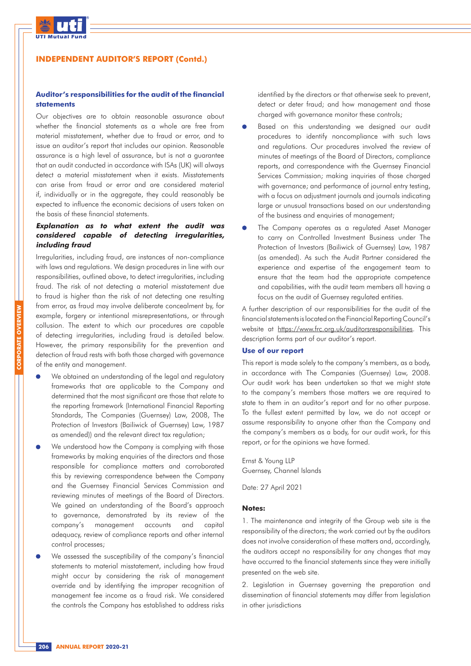

## **INDEPENDENT AUDITOR'S REPORT (Contd.)**

#### **Auditor's responsibilities for the audit of the financial statements**

Our objectives are to obtain reasonable assurance about whether the financial statements as a whole are free from material misstatement, whether due to fraud or error, and to issue an auditor's report that includes our opinion. Reasonable assurance is a high level of assurance, but is not a guarantee that an audit conducted in accordance with ISAs (UK) will always detect a material misstatement when it exists. Misstatements can arise from fraud or error and are considered material if, individually or in the aggregate, they could reasonably be expected to influence the economic decisions of users taken on the basis of these financial statements.

# **Explanation as to what extent the audit was considered capable of detecting irregularities, including fraud**

Irregularities, including fraud, are instances of non-compliance with laws and regulations. We design procedures in line with our responsibilities, outlined above, to detect irregularities, including fraud. The risk of not detecting a material misstatement due to fraud is higher than the risk of not detecting one resulting from error, as fraud may involve deliberate concealment by, for example, forgery or intentional misrepresentations, or through collusion. The extent to which our procedures are capable of detecting irregularities, including fraud is detailed below. However, the primary responsibility for the prevention and detection of fraud rests with both those charged with governance of the entity and management.

- We obtained an understanding of the legal and regulatory frameworks that are applicable to the Company and determined that the most significant are those that relate to the reporting framework (International Financial Reporting Standards, The Companies (Guernsey) Law, 2008, The Protection of Investors (Bailiwick of Guernsey) Law, 1987 as amended)) and the relevant direct tax regulation;
- We understood how the Company is complying with those frameworks by making enquiries of the directors and those responsible for compliance matters and corroborated this by reviewing correspondence between the Company and the Guernsey Financial Services Commission and reviewing minutes of meetings of the Board of Directors. We gained an understanding of the Board's approach to governance, demonstrated by its review of the company's management accounts and capital adequacy, review of compliance reports and other internal control processes;
- We assessed the susceptibility of the company's financial statements to material misstatement, including how fraud might occur by considering the risk of management override and by identifying the improper recognition of management fee income as a fraud risk. We considered the controls the Company has established to address risks

identified by the directors or that otherwise seek to prevent, detect or deter fraud; and how management and those charged with governance monitor these controls;

- Based on this understanding we designed our audit procedures to identify noncompliance with such laws and regulations. Our procedures involved the review of minutes of meetings of the Board of Directors, compliance reports, and correspondence with the Guernsey Financial Services Commission; making inquiries of those charged with governance; and performance of journal entry testing, with a focus on adjustment journals and journals indicating large or unusual transactions based on our understanding of the business and enquiries of management;
- The Company operates as a regulated Asset Manager to carry on Controlled Investment Business under The Protection of Investors (Bailiwick of Guernsey) Law, 1987 (as amended). As such the Audit Partner considered the experience and expertise of the engagement team to ensure that the team had the appropriate competence and capabilities, with the audit team members all having a focus on the audit of Guernsey regulated entities.

A further description of our responsibilities for the audit of the financial statements is located on the Financial Reporting Council's website at https://www.frc.org.uk/auditorsresponsibilities. This description forms part of our auditor's report.

#### **Use of our report**

This report is made solely to the company's members, as a body, in accordance with The Companies (Guernsey) Law, 2008. Our audit work has been undertaken so that we might state to the company's members those matters we are required to state to them in an auditor's report and for no other purpose. To the fullest extent permitted by law, we do not accept or assume responsibility to anyone other than the Company and the company's members as a body, for our audit work, for this report, or for the opinions we have formed.

Ernst & Young LLP Guernsey, Channel Islands

Date: 27 April 2021

#### **Notes:**

1. The maintenance and integrity of the Group web site is the responsibility of the directors; the work carried out by the auditors does not involve consideration of these matters and, accordingly, the auditors accept no responsibility for any changes that may have occurred to the financial statements since they were initially presented on the web site.

2. Legislation in Guernsey governing the preparation and dissemination of financial statements may differ from legislation in other jurisdictions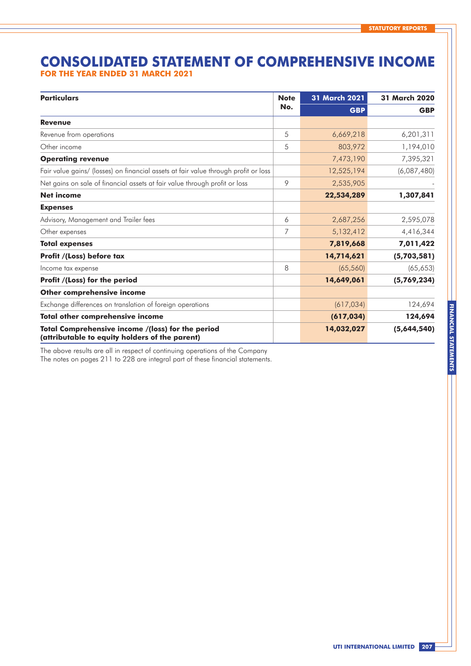# **CONSOLIDATED STATEMENT OF COMPREHENSIVE INCOME FOR THE YEAR ENDED 31 MARCH 2021**

| <b>Particulars</b>                                                                                  | <b>Note</b><br>No. | <b>31 March 2021</b> | <b>31 March 2020</b> |
|-----------------------------------------------------------------------------------------------------|--------------------|----------------------|----------------------|
|                                                                                                     |                    | <b>GBP</b>           | <b>GBP</b>           |
| <b>Revenue</b>                                                                                      |                    |                      |                      |
| Revenue from operations                                                                             | 5                  | 6,669,218            | 6,201,311            |
| Other income                                                                                        | 5                  | 803,972              | 1,194,010            |
| <b>Operating revenue</b>                                                                            |                    | 7,473,190            | 7,395,321            |
| Fair value gains/ (losses) on financial assets at fair value through profit or loss                 |                    | 12,525,194           | (6,087,480)          |
| Net gains on sale of financial assets at fair value through profit or loss                          | 9                  | 2,535,905            |                      |
| <b>Net income</b>                                                                                   |                    | 22,534,289           | 1,307,841            |
| <b>Expenses</b>                                                                                     |                    |                      |                      |
| Advisory, Management and Trailer fees                                                               | 6                  | 2,687,256            | 2,595,078            |
| Other expenses                                                                                      | 7                  | 5,132,412            | 4,416,344            |
| <b>Total expenses</b>                                                                               |                    | 7,819,668            | 7,011,422            |
| Profit /(Loss) before tax                                                                           |                    | 14,714,621           | (5,703,581)          |
| Income tax expense                                                                                  | 8                  | (65, 560)            | (65, 653)            |
| Profit /(Loss) for the period                                                                       |                    | 14,649,061           | (5,769,234)          |
| Other comprehensive income                                                                          |                    |                      |                      |
| Exchange differences on translation of foreign operations                                           |                    | (617, 034)           | 124,694              |
| <b>Total other comprehensive income</b>                                                             |                    | (617, 034)           | 124,694              |
| Total Comprehensive income /(loss) for the period<br>(attributable to equity holders of the parent) |                    | 14,032,027           | (5,644,540)          |

The above results are all in respect of continuing operations of the Company

The notes on pages 211 to 228 are integral part of these financial statements.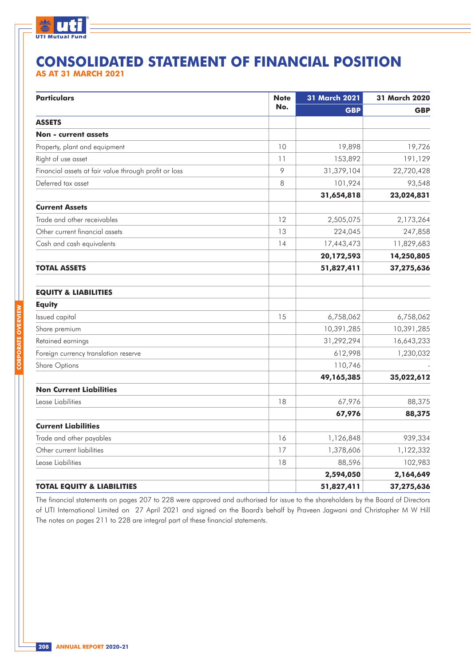

# **CONSOLIDATED STATEMENT OF FINANCIAL POSITION AS AT 31 MARCH 2021**

| <b>Particulars</b>                                    | <b>Note</b> | 31 March 2021 | 31 March 2020 |
|-------------------------------------------------------|-------------|---------------|---------------|
|                                                       | No.         | <b>GBP</b>    | <b>GBP</b>    |
| <b>ASSETS</b>                                         |             |               |               |
| <b>Non - current assets</b>                           |             |               |               |
| Property, plant and equipment                         | 10          | 19,898        | 19,726        |
| Right of use asset                                    | 11          | 153,892       | 191,129       |
| Financial assets at fair value through profit or loss | 9           | 31,379,104    | 22,720,428    |
| Deferred tax asset                                    | 8           | 101,924       | 93,548        |
|                                                       |             | 31,654,818    | 23,024,831    |
| <b>Current Assets</b>                                 |             |               |               |
| Trade and other receivables                           | 12          | 2,505,075     | 2,173,264     |
| Other current financial assets                        | 13          | 224,045       | 247,858       |
| Cash and cash equivalents                             | 14          | 17,443,473    | 11,829,683    |
|                                                       |             | 20,172,593    | 14,250,805    |
| <b>TOTAL ASSETS</b>                                   |             | 51,827,411    | 37,275,636    |
| <b>EQUITY &amp; LIABILITIES</b>                       |             |               |               |
| <b>Equity</b>                                         |             |               |               |
| Issued capital                                        | 15          | 6,758,062     | 6,758,062     |
| Share premium                                         |             | 10,391,285    | 10,391,285    |
| Retained earnings                                     |             | 31,292,294    | 16,643,233    |
| Foreign currency translation reserve                  |             | 612,998       | 1,230,032     |
| Share Options                                         |             | 110,746       |               |
|                                                       |             | 49,165,385    | 35,022,612    |
| <b>Non Current Liabilities</b>                        |             |               |               |
| Lease Liabilities                                     | 18          | 67,976        | 88,375        |
|                                                       |             | 67,976        | 88,375        |
| <b>Current Liabilities</b>                            |             |               |               |
| Trade and other payables                              | 16          | 1,126,848     | 939,334       |
| Other current liabilities                             | 17          | 1,378,606     | 1,122,332     |
| Lease Liabilities                                     | 18          | 88,596        | 102,983       |
|                                                       |             | 2,594,050     | 2,164,649     |
| <b>TOTAL EQUITY &amp; LIABILITIES</b>                 |             | 51,827,411    | 37,275,636    |

The financial statements on pages 207 to 228 were approved and authorised for issue to the shareholders by the Board of Directors of UTI International Limited on 27 April 2021 and signed on the Board's behalf by Praveen Jagwani and Christopher M W Hill The notes on pages 211 to 228 are integral part of these financial statements.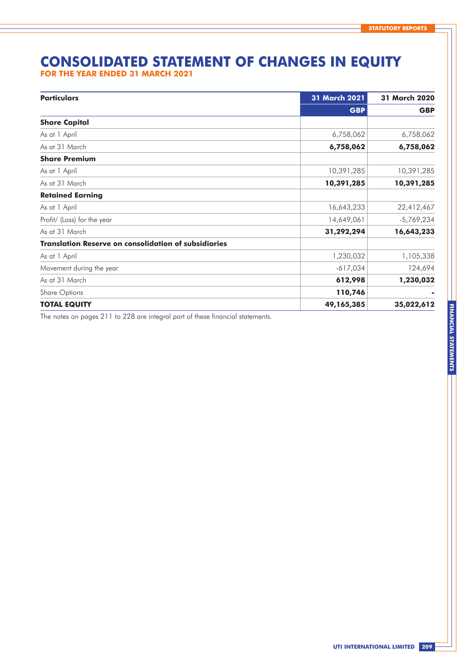# **CONSOLIDATED STATEMENT OF CHANGES IN EQUITY**

**FOR THE YEAR ENDED 31 MARCH 2021**

| <b>Particulars</b>                                          | <b>31 March 2021</b> | <b>31 March 2020</b> |
|-------------------------------------------------------------|----------------------|----------------------|
|                                                             | <b>GBP</b>           | <b>GBP</b>           |
| <b>Share Capital</b>                                        |                      |                      |
| As at 1 April                                               | 6,758,062            | 6,758,062            |
| As at 31 March                                              | 6,758,062            | 6,758,062            |
| <b>Share Premium</b>                                        |                      |                      |
| As at 1 April                                               | 10,391,285           | 10,391,285           |
| As at 31 March                                              | 10,391,285           | 10,391,285           |
| <b>Retained Earning</b>                                     |                      |                      |
| As at 1 April                                               | 16,643,233           | 22,412,467           |
| Profit/ (Loss) for the year                                 | 14,649,061           | -5,769,234           |
| As at 31 March                                              | 31,292,294           | 16,643,233           |
| <b>Translation Reserve on consolidation of subsidiaries</b> |                      |                      |
| As at 1 April                                               | 1,230,032            | 1,105,338            |
| Movement during the year                                    | $-617,034$           | 124,694              |
| As at 31 March                                              | 612,998              | 1,230,032            |
| <b>Share Options</b>                                        | 110,746              |                      |
| <b>TOTAL EQUITY</b>                                         | 49,165,385           | 35,022,612           |

The notes on pages 211 to 228 are integral part of these financial statements.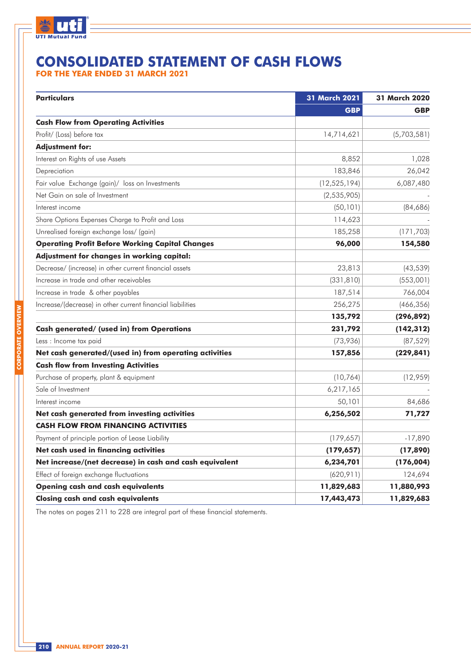

# **CONSOLIDATED STATEMENT OF CASH FLOWS**

**FOR THE YEAR ENDED 31 MARCH 2021**

| <b>Particulars</b>                                         | <b>31 March 2021</b> | 31 March 2020 |
|------------------------------------------------------------|----------------------|---------------|
|                                                            | <b>GBP</b>           | <b>GBP</b>    |
| <b>Cash Flow from Operating Activities</b>                 |                      |               |
| Profit/ (Loss) before tax                                  | 14,714,621           | (5,703,581)   |
| <b>Adjustment for:</b>                                     |                      |               |
| Interest on Rights of use Assets                           | 8,852                | 1,028         |
| Depreciation                                               | 183,846              | 26,042        |
| Fair value Exchange (gain)/ loss on Investments            | (12, 525, 194)       | 6,087,480     |
| Net Gain on sale of Investment                             | (2,535,905)          |               |
| Interest income                                            | (50, 101)            | (84, 686)     |
| Share Options Expenses Charge to Profit and Loss           | 114,623              |               |
| Unrealised foreign exchange loss/ (gain)                   | 185,258              | (171, 703)    |
| <b>Operating Profit Before Working Capital Changes</b>     | 96,000               | 154,580       |
| Adjustment for changes in working capital:                 |                      |               |
| Decrease/ (increase) in other current financial assets     | 23,813               | (43, 539)     |
| Increase in trade and other receivables                    | (331, 810)           | (553,001)     |
| Increase in trade & other payables                         | 187,514              | 766,004       |
| Increase/(decrease) in other current financial liabilities | 256,275              | (466, 356)    |
|                                                            | 135,792              | (296, 892)    |
| Cash generated/ (used in) from Operations                  | 231,792              | (142, 312)    |
| Less : Income tax paid                                     | (73, 936)            | (87, 529)     |
| Net cash generated/(used in) from operating activities     | 157,856              | (229, 841)    |
| <b>Cash flow from Investing Activities</b>                 |                      |               |
| Purchase of property, plant & equipment                    | (10, 764)            | (12,959)      |
| Sale of Investment                                         | 6,217,165            |               |
| Interest income                                            | 50,101               | 84,686        |
| Net cash generated from investing activities               | 6,256,502            | 71,727        |
| <b>CASH FLOW FROM FINANCING ACTIVITIES</b>                 |                      |               |
| Payment of principle portion of Lease Liability            | (179, 657)           | $-17,890$     |
| Net cash used in financing activities                      | (179, 657)           | (17, 890)     |
| Net increase/(net decrease) in cash and cash equivalent    | 6,234,701            | (176,004)     |
| Effect of foreign exchange fluctuations                    | (620, 911)           | 124,694       |
| <b>Opening cash and cash equivalents</b>                   | 11,829,683           | 11,880,993    |
| <b>Closing cash and cash equivalents</b>                   | 17,443,473           | 11,829,683    |

The notes on pages 211 to 228 are integral part of these financial statements.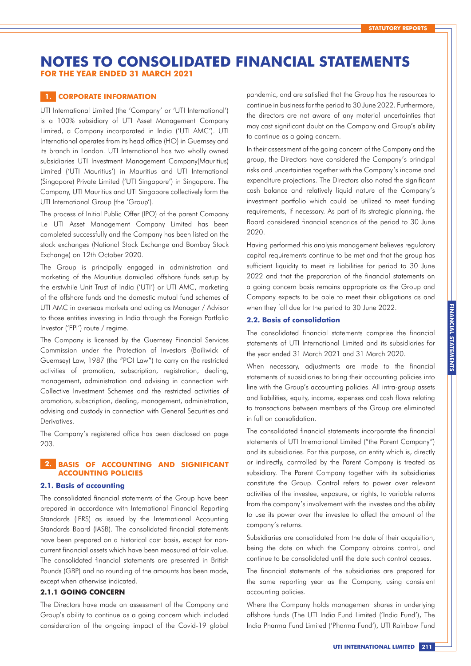#### **1. CORPORATE INFORMATION**

UTI International Limited (the 'Company' or 'UTI International') is a 100% subsidiary of UTI Asset Management Company Limited, a Company incorporated in India ('UTI AMC'). UTI International operates from its head office (HO) in Guernsey and its branch in London. UTI International has two wholly owned subsidiaries UTI Investment Management Company(Mauritius) Limited ('UTI Mauritius') in Mauritius and UTI International (Singapore) Private Limited ('UTI Singapore') in Singapore. The Company, UTI Mauritius and UTI Singapore collectively form the UTI International Group (the 'Group').

The process of Initial Public Offer (IPO) of the parent Company i.e UTI Asset Management Company Limited has been completed successfully and the Company has been listed on the stock exchanges (National Stock Exchange and Bombay Stock Exchange) on 12th October 2020.

The Group is principally engaged in administration and marketing of the Mauritius domiciled offshore funds setup by the erstwhile Unit Trust of India ('UTI') or UTI AMC, marketing of the offshore funds and the domestic mutual fund schemes of UTI AMC in overseas markets and acting as Manager / Advisor to those entities investing in India through the Foreign Portfolio Investor ('FPI') route / regime.

The Company is licensed by the Guernsey Financial Services Commission under the Protection of Investors (Bailiwick of Guernsey) Law, 1987 (the "POI Law") to carry on the restricted activities of promotion, subscription, registration, dealing, management, administration and advising in connection with Collective Investment Schemes and the restricted activities of promotion, subscription, dealing, management, administration, advising and custody in connection with General Securities and Derivatives.

The Company's registered office has been disclosed on page 203.

#### **2. BASIS OF ACCOUNTING AND SIGNIFICANT ACCOUNTING POLICIES**

#### **2.1. Basis of accounting**

The consolidated financial statements of the Group have been prepared in accordance with International Financial Reporting Standards (IFRS) as issued by the International Accounting Standards Board (IASB). The consolidated financial statements have been prepared on a historical cost basis, except for noncurrent financial assets which have been measured at fair value. The consolidated financial statements are presented in British Pounds (GBP) and no rounding of the amounts has been made, except when otherwise indicated.

# **2.1.1 GOING CONCERN**

The Directors have made an assessment of the Company and Group's ability to continue as a going concern which included consideration of the ongoing impact of the Covid-19 global pandemic, and are satisfied that the Group has the resources to continue in business for the period to 30 June 2022. Furthermore, the directors are not aware of any material uncertainties that may cast significant doubt on the Company and Group's ability to continue as a going concern.

In their assessment of the going concern of the Company and the group, the Directors have considered the Company's principal risks and uncertainties together with the Company's income and expenditure projections. The Directors also noted the significant cash balance and relatively liquid nature of the Company's investment portfolio which could be utilized to meet funding requirements, if necessary. As part of its strategic planning, the Board considered financial scenarios of the period to 30 June 2020.

Having performed this analysis management believes regulatory capital requirements continue to be met and that the group has sufficient liquidity to meet its liabilities for period to 30 June 2022 and that the preparation of the financial statements on a going concern basis remains appropriate as the Group and Company expects to be able to meet their obligations as and when they fall due for the period to 30 June 2022.

#### **2.2. Basis of consolidation**

The consolidated financial statements comprise the financial statements of UTI International Limited and its subsidiaries for the year ended 31 March 2021 and 31 March 2020.

When necessary, adjustments are made to the financial statements of subsidiaries to bring their accounting policies into line with the Group's accounting policies. All intra-group assets and liabilities, equity, income, expenses and cash flows relating to transactions between members of the Group are eliminated in full on consolidation.

The consolidated financial statements incorporate the financial statements of UTI International Limited ("the Parent Company") and its subsidiaries. For this purpose, an entity which is, directly or indirectly, controlled by the Parent Company is treated as subsidiary. The Parent Company together with its subsidiaries constitute the Group. Control refers to power over relevant activities of the investee, exposure, or rights, to variable returns from the company's involvement with the investee and the ability to use its power over the investee to affect the amount of the company's returns.

Subsidiaries are consolidated from the date of their acquisition, being the date on which the Company obtains control, and continue to be consolidated until the date such control ceases.

The financial statements of the subsidiaries are prepared for the same reporting year as the Company, using consistent accounting policies.

Where the Company holds management shares in underlying offshore funds (The UTI India Fund Limited ('India Fund'), The India Pharma Fund Limited ('Pharma Fund'), UTI Rainbow Fund **FINANCIAL STATEMENTS**

**FINANCIAL STATEMENTS**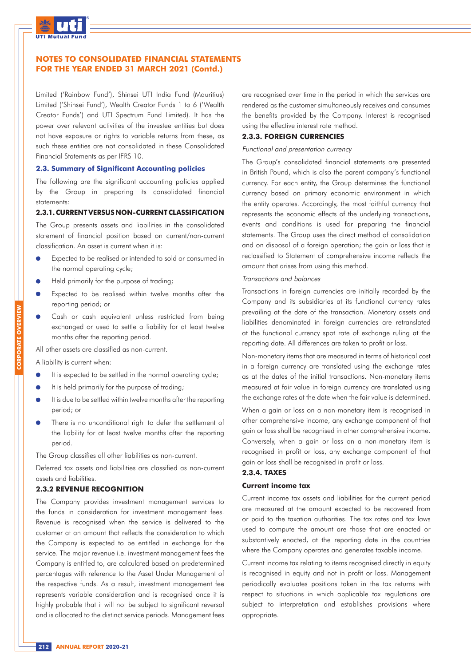

Limited ('Rainbow Fund'), Shinsei UTI India Fund (Mauritius) Limited ('Shinsei Fund'), Wealth Creator Funds 1 to 6 ('Wealth Creator Funds') and UTI Spectrum Fund Limited). It has the power over relevant activities of the investee entities but does not have exposure or rights to variable returns from these, as such these entities are not consolidated in these Consolidated Financial Statements as per IFRS 10.

#### **2.3. Summary of Significant Accounting policies**

The following are the significant accounting policies applied by the Group in preparing its consolidated financial statements:

#### **2.3.1. CURRENT VERSUS NON-CURRENT CLASSIFICATION**

The Group presents assets and liabilities in the consolidated statement of financial position based on current/non-current classification. An asset is current when it is:

- Expected to be realised or intended to sold or consumed in the normal operating cycle;
- Held primarily for the purpose of trading;
- Expected to be realised within twelve months after the reporting period; or
- Cash or cash equivalent unless restricted from being exchanged or used to settle a liability for at least twelve months after the reporting period.

All other assets are classified as non-current.

A liability is current when:

**CORPORATE OVERVIEW**

- It is expected to be settled in the normal operating cycle;
- It is held primarily for the purpose of trading;
- It is due to be settled within twelve months after the reporting period; or
- There is no unconditional right to defer the settlement of the liability for at least twelve months after the reporting period.

The Group classifies all other liabilities as non-current.

Deferred tax assets and liabilities are classified as non-current assets and liabilities.

# **2.3.2 REVENUE RECOGNITION**

The Company provides investment management services to the funds in consideration for investment management fees. Revenue is recognised when the service is delivered to the customer at an amount that reflects the consideration to which the Company is expected to be entitled in exchange for the service. The major revenue i.e. investment management fees the Company is entitled to, are calculated based on predetermined percentages with reference to the Asset Under Management of the respective funds. As a result, investment management fee represents variable consideration and is recognised once it is highly probable that it will not be subject to significant reversal and is allocated to the distinct service periods. Management fees

are recognised over time in the period in which the services are rendered as the customer simultaneously receives and consumes the benefits provided by the Company. Interest is recognised using the effective interest rate method.

## **2.3.3. FOREIGN CURRENCIES**

#### Functional and presentation currency

The Group's consolidated financial statements are presented in British Pound, which is also the parent company's functional currency. For each entity, the Group determines the functional currency based on primary economic environment in which the entity operates. Accordingly, the most faithful currency that represents the economic effects of the underlying transactions, events and conditions is used for preparing the financial statements. The Group uses the direct method of consolidation and on disposal of a foreign operation; the gain or loss that is reclassified to Statement of comprehensive income reflects the amount that arises from using this method.

#### Transactions and balances

Transactions in foreign currencies are initially recorded by the Company and its subsidiaries at its functional currency rates prevailing at the date of the transaction. Monetary assets and liabilities denominated in foreign currencies are retranslated at the functional currency spot rate of exchange ruling at the reporting date. All differences are taken to profit or loss.

Non-monetary items that are measured in terms of historical cost in a foreign currency are translated using the exchange rates as at the dates of the initial transactions. Non-monetary items measured at fair value in foreign currency are translated using the exchange rates at the date when the fair value is determined.

When a gain or loss on a non-monetary item is recognised in other comprehensive income, any exchange component of that gain or loss shall be recognised in other comprehensive income. Conversely, when a gain or loss on a non-monetary item is recognised in profit or loss, any exchange component of that gain or loss shall be recognised in profit or loss.

### **2.3.4. TAXES**

#### **Current income tax**

Current income tax assets and liabilities for the current period are measured at the amount expected to be recovered from or paid to the taxation authorities. The tax rates and tax laws used to compute the amount are those that are enacted or substantively enacted, at the reporting date in the countries where the Company operates and generates taxable income.

Current income tax relating to items recognised directly in equity is recognised in equity and not in profit or loss. Management periodically evaluates positions taken in the tax returns with respect to situations in which applicable tax regulations are subject to interpretation and establishes provisions where appropriate.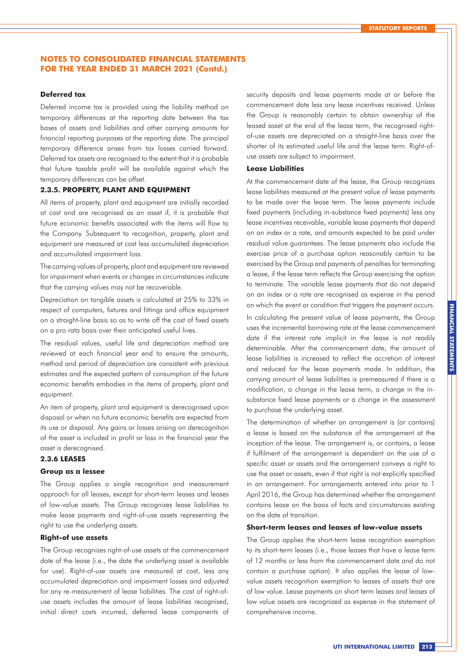#### **Deferred tax**

Deferred income tax is provided using the liability method on temporary differences at the reporting date between the tax bases of assets and liabilities and other carrying amounts for financial reporting purposes at the reporting date. The principal temporary difference arises from tax losses carried forward. Deferred tax assets are recognised to the extent that it is probable that future taxable profit will be available against which the temporary differences can be offset.

#### **2.3.5. PROPERTY, PLANT AND EQUIPMENT**

All items of property, plant and equipment are initially recorded at cost and are recognised as an asset if, it is probable that future economic benefits associated with the items will flow to the Company. Subsequent to recognition, property, plant and equipment are measured at cost less accumulated depreciation and accumulated impairment loss.

The carrying values of property, plant and equipment are reviewed for impairment when events or changes in circumstances indicate that the carrying values may not be recoverable.

Depreciation on tangible assets is calculated at 25% to 33% in respect of computers, fixtures and fittings and office equipment on a straight-line basis so as to write off the cost of fixed assets on a pro rata basis over their anticipated useful lives.

The residual values, useful life and depreciation method are reviewed at each financial year end to ensure the amounts, method and period of depreciation are consistent with previous estimates and the expected pattern of consumption of the future economic benefits embodies in the items of property, plant and equipment.

An item of property, plant and equipment is derecognised upon disposal or when no future economic benefits are expected from its use or disposal. Any gains or losses arising on derecognition of the asset is included in profit or loss in the financial year the asset is derecognised.

### **2.3.6 LEASES**

# **Group as a lessee**

The Group applies a single recognition and measurement approach for all leases, except for short-term leases and leases of low-value assets. The Group recognizes lease liabilities to make lease payments and right-of-use assets representing the right to use the underlying assets.

#### **Right-of use assets**

The Group recognizes right-of-use assets at the commencement date of the lease (i.e., the date the underlying asset is available for use). Right-of-use assets are measured at cost, less any accumulated depreciation and impairment losses and adjusted for any re-measurement of lease liabilities. The cost of right-ofuse assets includes the amount of lease liabilities recognised, initial direct costs incurred, deferred lease components of security deposits and lease payments made at or before the commencement date less any lease incentives received. Unless the Group is reasonably certain to obtain ownership of the leased asset at the end of the lease term, the recognised rightof-use assets are depreciated on a straight-line basis over the shorter of its estimated useful life and the lease term. Right-ofuse assets are subject to impairment.

#### **Lease Liabilities**

At the commencement date of the lease, the Group recognizes lease liabilities measured at the present value of lease payments to be made over the lease term. The lease payments include fixed payments (including in-substance fixed payments) less any lease incentives receivable, variable lease payments that depend on an index or a rate, and amounts expected to be paid under residual value guarantees. The lease payments also include the exercise price of a purchase option reasonably certain to be exercised by the Group and payments of penalties for terminating a lease, if the lease term reflects the Group exercising the option to terminate. The variable lease payments that do not depend on an index or a rate are recognised as expense in the period on which the event or condition that triggers the payment occurs.

In calculating the present value of lease payments, the Group uses the incremental borrowing rate at the lease commencement date if the interest rate implicit in the lease is not readily determinable. After the commencement date, the amount of lease liabilities is increased to reflect the accretion of interest and reduced for the lease payments made. In addition, the carrying amount of lease liabilities is premeasured if there is a modification, a change in the lease term, a change in the insubstance fixed lease payments or a change in the assessment to purchase the underlying asset.

The determination of whether an arrangement is (or contains) a lease is based on the substance of the arrangement at the inception of the lease. The arrangement is, or contains, a lease if fulfilment of the arrangement is dependent on the use of a specific asset or assets and the arrangement conveys a right to use the asset or assets, even if that right is not explicitly specified in an arrangement. For arrangements entered into prior to 1 April 2016, the Group has determined whether the arrangement contains lease on the basis of facts and circumstances existing on the date of transition.

#### **Short-term leases and leases of low-value assets**

The Group applies the short-term lease recognition exemption to its short-term leases (i.e., those leases that have a lease term of 12 months or less from the commencement date and do not contain a purchase option). It also applies the lease of lowvalue assets recognition exemption to leases of assets that are of low value. Lease payments on short term leases and leases of low value assets are recognized as expense in the statement of comprehensive income.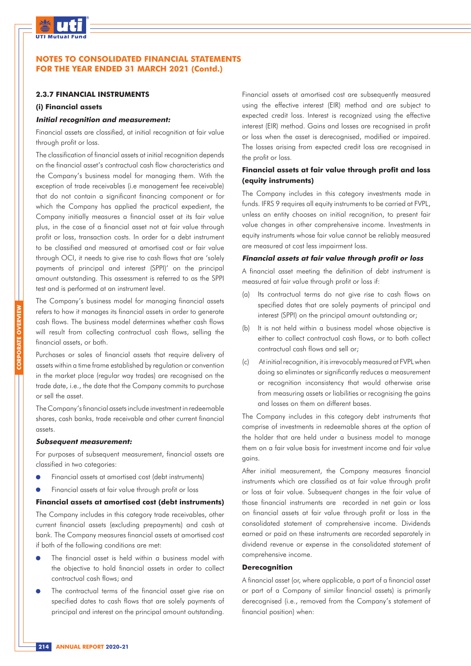

#### **2.3.7 FINANCIAL INSTRUMENTS**

#### **(i) Financial assets**

#### **Initial recognition and measurement:**

Financial assets are classified, at initial recognition at fair value through profit or loss.

The classification of financial assets at initial recognition depends on the financial asset's contractual cash flow characteristics and the Company's business model for managing them. With the exception of trade receivables (i.e management fee receivable) that do not contain a significant financing component or for which the Company has applied the practical expedient, the Company initially measures a financial asset at its fair value plus, in the case of a financial asset not at fair value through profit or loss, transaction costs. In order for a debt instrument to be classified and measured at amortised cost or fair value through OCI, it needs to give rise to cash flows that are 'solely payments of principal and interest (SPPI)' on the principal amount outstanding. This assessment is referred to as the SPPI test and is performed at an instrument level.

The Company's business model for managing financial assets refers to how it manages its financial assets in order to generate cash flows. The business model determines whether cash flows will result from collecting contractual cash flows, selling the financial assets, or both.

Purchases or sales of financial assets that require delivery of assets within a time frame established by regulation or convention in the market place (regular way trades) are recognised on the trade date, i.e., the date that the Company commits to purchase or sell the asset.

The Company's financial assets include investment in redeemable shares, cash banks, trade receivable and other current financial assets.

#### **Subsequent measurement:**

For purposes of subsequent measurement, financial assets are classified in two categories:

- Financial assets at amortised cost (debt instruments)
- Financial assets at fair value through profit or loss

#### **Financial assets at amortised cost (debt instruments)**

The Company includes in this category trade receivables, other current financial assets (excluding prepayments) and cash at bank. The Company measures financial assets at amortised cost if both of the following conditions are met:

- The financial asset is held within a business model with the objective to hold financial assets in order to collect contractual cash flows; and
- The contractual terms of the financial asset give rise on specified dates to cash flows that are solely payments of principal and interest on the principal amount outstanding.

Financial assets at amortised cost are subsequently measured using the effective interest (EIR) method and are subject to expected credit loss. Interest is recognized using the effective interest (EIR) method. Gains and losses are recognised in profit or loss when the asset is derecognised, modified or impaired. The losses arising from expected credit loss are recognised in the profit or loss.

## **Financial assets at fair value through profit and loss (equity instruments)**

The Company includes in this category investments made in funds. IFRS 9 requires all equity instruments to be carried at FVPL, unless an entity chooses on initial recognition, to present fair value changes in other comprehensive income. Investments in equity instruments whose fair value cannot be reliably measured are measured at cost less impairment loss.

## **Financial assets at fair value through profit or loss**

A financial asset meeting the definition of debt instrument is measured at fair value through profit or loss if:

- (a) Its contractual terms do not give rise to cash flows on specified dates that are solely payments of principal and interest (SPPI) on the principal amount outstanding or;
- (b) It is not held within a business model whose objective is either to collect contractual cash flows, or to both collect contractual cash flows and sell or;
- (c) At initial recognition, it is irrevocably measured at FVPL when doing so eliminates or significantly reduces a measurement or recognition inconsistency that would otherwise arise from measuring assets or liabilities or recognising the gains and losses on them on different bases.

The Company includes in this category debt instruments that comprise of investments in redeemable shares at the option of the holder that are held under a business model to manage them on a fair value basis for investment income and fair value gains.

After initial measurement, the Company measures financial instruments which are classified as at fair value through profit or loss at fair value. Subsequent changes in the fair value of those financial instruments are recorded in net gain or loss on financial assets at fair value through profit or loss in the consolidated statement of comprehensive income. Dividends earned or paid on these instruments are recorded separately in dividend revenue or expense in the consolidated statement of comprehensive income.

#### **Derecognition**

A financial asset (or, where applicable, a part of a financial asset or part of a Company of similar financial assets) is primarily derecognised (i.e., removed from the Company's statement of financial position) when: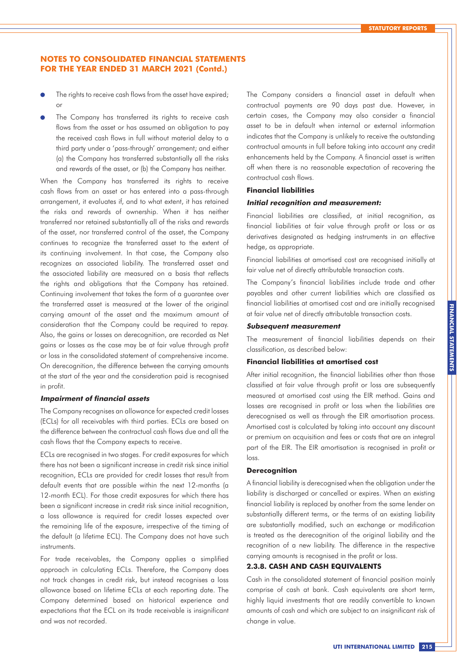- The rights to receive cash flows from the asset have expired; or
- The Company has transferred its rights to receive cash flows from the asset or has assumed an obligation to pay the received cash flows in full without material delay to a third party under a 'pass-through' arrangement; and either (a) the Company has transferred substantially all the risks and rewards of the asset, or (b) the Company has neither.

When the Company has transferred its rights to receive cash flows from an asset or has entered into a pass-through arrangement, it evaluates if, and to what extent, it has retained the risks and rewards of ownership. When it has neither transferred nor retained substantially all of the risks and rewards of the asset, nor transferred control of the asset, the Company continues to recognize the transferred asset to the extent of its continuing involvement. In that case, the Company also recognizes an associated liability. The transferred asset and the associated liability are measured on a basis that reflects the rights and obligations that the Company has retained. Continuing involvement that takes the form of a guarantee over the transferred asset is measured at the lower of the original carrying amount of the asset and the maximum amount of consideration that the Company could be required to repay. Also, the gains or losses on derecognition, are recorded as Net gains or losses as the case may be at fair value through profit or loss in the consolidated statement of comprehensive income. On derecognition, the difference between the carrying amounts at the start of the year and the consideration paid is recognised in profit.

#### **Impairment of financial assets**

The Company recognises an allowance for expected credit losses (ECLs) for all receivables with third parties. ECLs are based on the difference between the contractual cash flows due and all the cash flows that the Company expects to receive.

ECLs are recognised in two stages. For credit exposures for which there has not been a significant increase in credit risk since initial recognition, ECLs are provided for credit losses that result from default events that are possible within the next 12-months (a 12-month ECL). For those credit exposures for which there has been a significant increase in credit risk since initial recognition, a loss allowance is required for credit losses expected over the remaining life of the exposure, irrespective of the timing of the default (a lifetime ECL). The Company does not have such instruments.

For trade receivables, the Company applies a simplified approach in calculating ECLs. Therefore, the Company does not track changes in credit risk, but instead recognises a loss allowance based on lifetime ECLs at each reporting date. The Company determined based on historical experience and expectations that the ECL on its trade receivable is insignificant and was not recorded.

The Company considers a financial asset in default when contractual payments are 90 days past due. However, in certain cases, the Company may also consider a financial asset to be in default when internal or external information indicates that the Company is unlikely to receive the outstanding contractual amounts in full before taking into account any credit enhancements held by the Company. A financial asset is written off when there is no reasonable expectation of recovering the contractual cash flows.

#### **Financial liabilities**

#### **Initial recognition and measurement:**

Financial liabilities are classified, at initial recognition, as financial liabilities at fair value through profit or loss or as derivatives designated as hedging instruments in an effective hedge, as appropriate.

Financial liabilities at amortised cost are recognised initially at fair value net of directly attributable transaction costs.

The Company's financial liabilities include trade and other payables and other current liabilities which are classified as financial liabilities at amortised cost and are initially recognised at fair value net of directly attributable transaction costs.

#### **Subsequent measurement**

The measurement of financial liabilities depends on their classification, as described below:

### **Financial liabilities at amortised cost**

After initial recognition, the financial liabilities other than those classified at fair value through profit or loss are subsequently measured at amortised cost using the EIR method. Gains and losses are recognised in profit or loss when the liabilities are derecognised as well as through the EIR amortisation process. Amortised cost is calculated by taking into account any discount or premium on acquisition and fees or costs that are an integral part of the EIR. The EIR amortisation is recognised in profit or loss.

#### **Derecognition**

A financial liability is derecognised when the obligation under the liability is discharged or cancelled or expires. When an existing financial liability is replaced by another from the same lender on substantially different terms, or the terms of an existing liability are substantially modified, such an exchange or modification is treated as the derecognition of the original liability and the recognition of a new liability. The difference in the respective carrying amounts is recognised in the profit or loss.

## **2.3.8. CASH AND CASH EQUIVALENTS**

Cash in the consolidated statement of financial position mainly comprise of cash at bank. Cash equivalents are short term, highly liquid investments that are readily convertible to known amounts of cash and which are subject to an insignificant risk of change in value.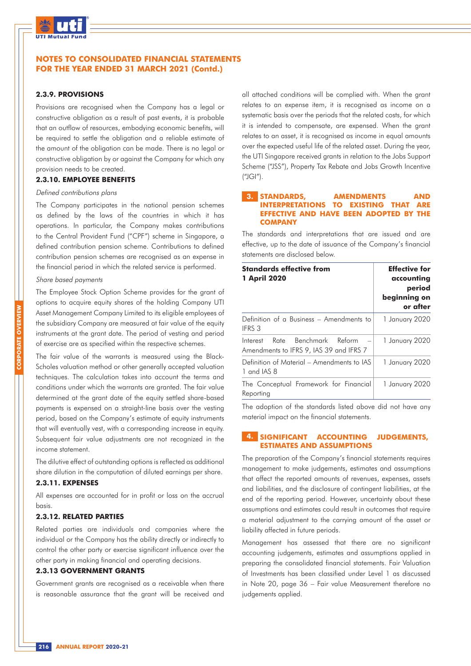

#### **2.3.9. PROVISIONS**

Provisions are recognised when the Company has a legal or constructive obligation as a result of past events, it is probable that an outflow of resources, embodying economic benefits, will be required to settle the obligation and a reliable estimate of the amount of the obligation can be made. There is no legal or constructive obligation by or against the Company for which any provision needs to be created.

#### **2.3.10. EMPLOYEE BENEFITS**

#### Defined contributions plans

The Company participates in the national pension schemes as defined by the laws of the countries in which it has operations. In particular, the Company makes contributions to the Central Provident Fund ("CPF") scheme in Singapore, a defined contribution pension scheme. Contributions to defined contribution pension schemes are recognised as an expense in the financial period in which the related service is performed.

#### Share based payments

The Employee Stock Option Scheme provides for the grant of options to acquire equity shares of the holding Company UTI Asset Management Company Limited to its eligible employees of the subsidiary Company are measured at fair value of the equity instruments at the grant date. The period of vesting and period of exercise are as specified within the respective schemes.

The fair value of the warrants is measured using the Black-Scholes valuation method or other generally accepted valuation techniques. The calculation takes into account the terms and conditions under which the warrants are granted. The fair value determined at the grant date of the equity settled share-based payments is expensed on a straight-line basis over the vesting period, based on the Company's estimate of equity instruments that will eventually vest, with a corresponding increase in equity. Subsequent fair value adjustments are not recognized in the income statement.

The dilutive effect of outstanding options is reflected as additional share dilution in the computation of diluted earnings per share.

# **2.3.11. EXPENSES**

All expenses are accounted for in profit or loss on the accrual basis.

### **2.3.12. RELATED PARTIES**

Related parties are individuals and companies where the individual or the Company has the ability directly or indirectly to control the other party or exercise significant influence over the other party in making financial and operating decisions.

# **2.3.13 GOVERNMENT GRANTS**

Government grants are recognised as a receivable when there is reasonable assurance that the grant will be received and

all attached conditions will be complied with. When the grant relates to an expense item, it is recognised as income on a systematic basis over the periods that the related costs, for which it is intended to compensate, are expensed. When the grant relates to an asset, it is recognised as income in equal amounts over the expected useful life of the related asset. During the year, the UTI Singapore received grants in relation to the Jobs Support Scheme ("JSS"), Property Tax Rebate and Jobs Growth Incentive ("JGI").

#### **3. STANDARDS, AMENDMENTS** AND **INTERPRETATIONS TO EXISTING THAT ARE INTERPRETATIONS TO EXISTING THAT EFFECTIVE AND HAVE BEEN ADOPTED BY THE COMPANY**

The standards and interpretations that are issued and are effective, up to the date of issuance of the Company's financial statements are disclosed below.

| <b>Standards effective from</b><br>1 April 2020                                    | <b>Effective for</b><br>accounting<br>period<br>beginning on<br>or after |  |
|------------------------------------------------------------------------------------|--------------------------------------------------------------------------|--|
| Definition of a Business - Amendments to<br><b>IFRS 3</b>                          | 1 January 2020                                                           |  |
| Benchmark<br>Reform<br>Rate<br>Interest<br>Amendments to IFRS 9, IAS 39 and IFRS 7 | 1 January 2020                                                           |  |
| Definition of Material – Amendments to IAS<br>1 and IAS 8                          | 1 January 2020                                                           |  |
| The Conceptual Framework for Financial<br>Reporting                                | 1 January 2020                                                           |  |

The adoption of the standards listed above did not have any material impact on the financial statements.

#### **4. SIGNIFICANT ACCOUNTING JUDGEMENTS, ESTIMATES AND ASSUMPTIONS**

The preparation of the Company's financial statements requires management to make judgements, estimates and assumptions that affect the reported amounts of revenues, expenses, assets and liabilities, and the disclosure of contingent liabilities, at the end of the reporting period. However, uncertainty about these assumptions and estimates could result in outcomes that require a material adjustment to the carrying amount of the asset or liability affected in future periods.

Management has assessed that there are no significant accounting judgements, estimates and assumptions applied in preparing the consolidated financial statements. Fair Valuation of Investments has been classified under Level 1 as discussed in Note 20, page 36 – Fair value Measurement therefore no judgements applied.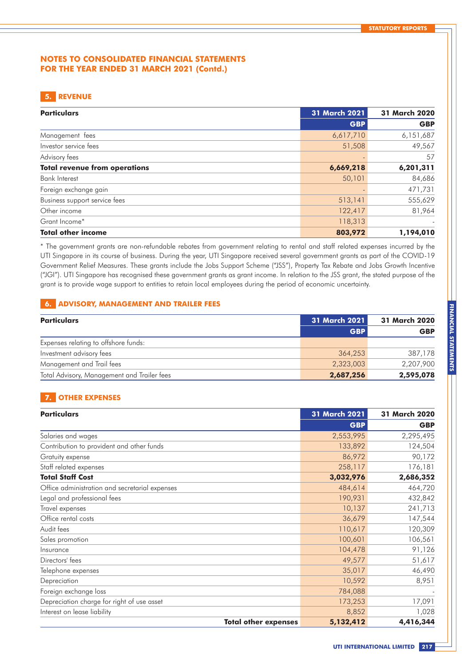# **5. REVENUE**

| <b>Particulars</b>                   | <b>31 March 2021</b> | <b>31 March 2020</b> |
|--------------------------------------|----------------------|----------------------|
|                                      | <b>GBP</b>           | <b>GBP</b>           |
| Management fees                      | 6,617,710            | 6,151,687            |
| Investor service fees                | 51,508               | 49,567               |
| Advisory fees                        |                      | 57                   |
| <b>Total revenue from operations</b> | 6,669,218            | 6,201,311            |
| <b>Bank Interest</b>                 | 50,101               | 84,686               |
| Foreign exchange gain                |                      | 471,731              |
| Business support service fees        | 513,141              | 555,629              |
| Other income                         | 122,417              | 81,964               |
| Grant Income*                        | 118,313              |                      |
| <b>Total other income</b>            | 803,972              | 1,194,010            |

\* The government grants are non-refundable rebates from government relating to rental and staff related expenses incurred by the UTI Singapore in its course of business. During the year, UTI Singapore received several government grants as part of the COVID-19 Government Relief Measures. These grants include the Jobs Support Scheme ("JSS"), Property Tax Rebate and Jobs Growth Incentive ("JGI"). UTI Singapore has recognised these government grants as grant income. In relation to the JSS grant, the stated purpose of the grant is to provide wage support to entities to retain local employees during the period of economic uncertainty.

# **6. ADVISORY, MANAGEMENT AND TRAILER FEES**

| <b>Particulars</b>                          | 31 March 2021 | <b>31 March 2020</b> |
|---------------------------------------------|---------------|----------------------|
|                                             | <b>GBP</b>    | <b>GBP</b>           |
| Expenses relating to offshore funds:        |               |                      |
| Investment advisory fees                    | 364,253       | 387,178              |
| Management and Trail fees                   | 2,323,003     | 2,207,900            |
| Total Advisory, Management and Trailer fees | 2,687,256     | 2,595,078            |

# **7. OTHER EXPENSES**

| <b>Particulars</b>                             | 31 March 2021 | 31 March 2020 |
|------------------------------------------------|---------------|---------------|
|                                                | <b>GBP</b>    | <b>GBP</b>    |
| Salaries and wages                             | 2,553,995     | 2,295,495     |
| Contribution to provident and other funds      | 133,892       | 124,504       |
| Gratuity expense                               | 86,972        | 90,172        |
| Staff related expenses                         | 258,117       | 176,181       |
| <b>Total Staff Cost</b>                        | 3,032,976     | 2,686,352     |
| Office administration and secretarial expenses | 484,614       | 464,720       |
| Legal and professional fees                    | 190,931       | 432,842       |
| Travel expenses                                | 10,137        | 241,713       |
| Office rental costs                            | 36,679        | 147,544       |
| Audit fees                                     | 110,617       | 120,309       |
| Sales promotion                                | 100,601       | 106,561       |
| Insurance                                      | 104,478       | 91,126        |
| Directors' fees                                | 49,577        | 51,617        |
| Telephone expenses                             | 35,017        | 46,490        |
| Depreciation                                   | 10,592        | 8,951         |
| Foreign exchange loss                          | 784,088       |               |
| Depreciation charge for right of use asset     | 173,253       | 17,091        |
| Interest on lease liability                    | 8,852         | 1,028         |
| <b>Total other expenses</b>                    | 5,132,412     | 4,416,344     |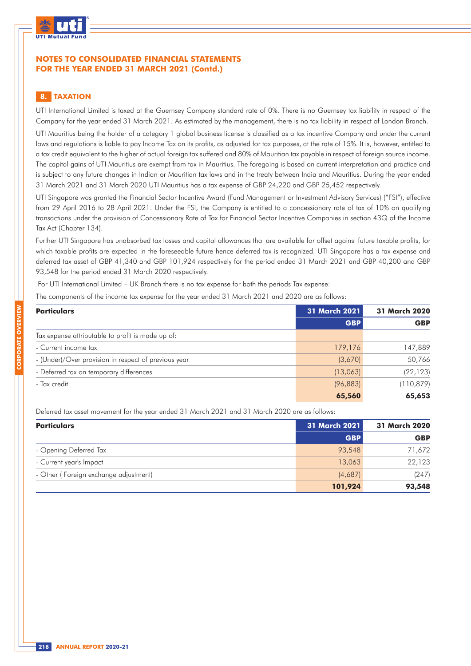

# **8. TAXATION**

UTI International Limited is taxed at the Guernsey Company standard rate of 0%. There is no Guernsey tax liability in respect of the Company for the year ended 31 March 2021. As estimated by the management, there is no tax liability in respect of London Branch.

UTI Mauritius being the holder of a category 1 global business license is classified as a tax incentive Company and under the current laws and regulations is liable to pay Income Tax on its profits, as adjusted for tax purposes, at the rate of 15%. It is, however, entitled to a tax credit equivalent to the higher of actual foreign tax suffered and 80% of Mauritian tax payable in respect of foreign source income. The capital gains of UTI Mauritius are exempt from tax in Mauritius. The foregoing is based on current interpretation and practice and is subject to any future changes in Indian or Mauritian tax laws and in the treaty between India and Mauritius. During the year ended 31 March 2021 and 31 March 2020 UTI Mauritius has a tax expense of GBP 24,220 and GBP 25,452 respectively.

UTI Singapore was granted the Financial Sector Incentive Award (Fund Management or Investment Advisory Services) ("FSI"), effective from 29 April 2016 to 28 April 2021. Under the FSI, the Company is entitled to a concessionary rate of tax of 10% on qualifying transactions under the provision of Concessionary Rate of Tax for Financial Sector Incentive Companies in section 43Q of the Income Tax Act (Chapter 134).

Further UTI Singapore has unabsorbed tax losses and capital allowances that are available for offset against future taxable profits, for which taxable profits are expected in the foreseeable future hence deferred tax is recognized. UTI Singapore has a tax expense and deferred tax asset of GBP 41,340 and GBP 101,924 respectively for the period ended 31 March 2021 and GBP 40,200 and GBP 93,548 for the period ended 31 March 2020 respectively.

For UTI International Limited – UK Branch there is no tax expense for both the periods Tax expense:

The components of the income tax expense for the year ended 31 March 2021 and 2020 are as follows:

| <b>Particulars</b>                                   |           | <b>31 March 2021</b> | 31 March 2020 |
|------------------------------------------------------|-----------|----------------------|---------------|
|                                                      |           | <b>GBP</b>           | <b>GBP</b>    |
| Tax expense attributable to profit is made up of:    |           |                      |               |
| - Current income tax                                 | 179,176   |                      | 147,889       |
| - (Under)/Over provision in respect of previous year | (3,670)   |                      | 50,766        |
| - Deferred tax on temporary differences              | (13,063)  |                      | (22, 123)     |
| - Tax credit                                         | (96, 883) | (110, 879)           |               |
|                                                      | 65,560    |                      | 65,653        |

Deferred tax asset movement for the year ended 31 March 2021 and 31 March 2020 are as follows:

| <b>Particulars</b>                    | 31 March 2021 | <b>31 March 2020</b> |
|---------------------------------------|---------------|----------------------|
|                                       | <b>GBP</b>    | <b>GBP</b>           |
| - Opening Deferred Tax                | 93,548        | 71,672               |
| - Current year's Impact               | 13,063        | 22,123               |
| - Other (Foreign exchange adjustment) | (4,687)       | (247)                |
|                                       | 101,924       | 93,548               |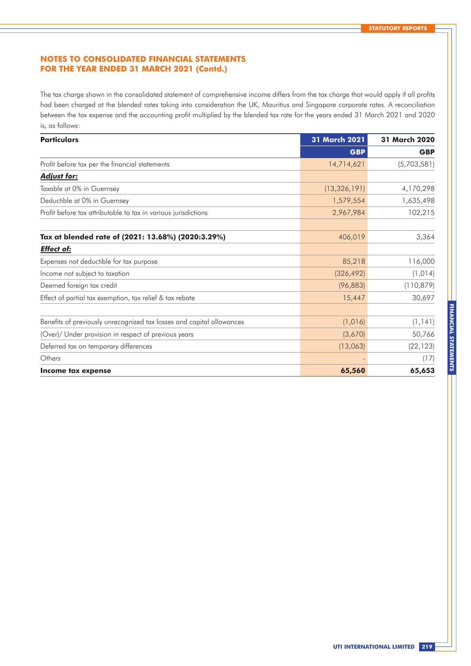The tax charge shown in the consolidated statement of comprehensive income differs from the tax charge that would apply if all profits had been charged at the blended rates taking into consideration the UK, Mauritius and Singapore corporate rates. A reconciliation between the tax expense and the accounting profit multiplied by the blended tax rate for the years ended 31 March 2021 and 2020 is, as follows:

| <b>Particulars</b>                                                    | 31 March 2021  | 31 March 2020 |
|-----------------------------------------------------------------------|----------------|---------------|
|                                                                       | <b>GBP</b>     | <b>GBP</b>    |
| Profit before tax per the financial statements                        | 14,714,621     | (5,703,581)   |
| <u> Adjust for:</u>                                                   |                |               |
| Taxable at 0% in Guernsey                                             | (13, 326, 191) | 4,170,298     |
| Deductible at 0% in Guernsey                                          | 1,579,554      | 1,635,498     |
| Profit before tax attributable to tax in various jurisdictions        | 2,967,984      | 102,215       |
| Tax at blended rate of (2021: 13.68%) (2020:3.29%)                    | 406,019        | 3,364         |
| <b>Effect of:</b>                                                     |                |               |
| Expenses not deductible for tax purpose                               | 85,218         | 116,000       |
| Income not subject to taxation                                        | (326, 492)     | (1, 014)      |
| Deemed foreign tax credit                                             | (96, 883)      | (110, 879)    |
| Effect of partial tax exemption, tax relief & tax rebate              | 15,447         | 30,697        |
| Benefits of previously unrecognized tax losses and capital allowances | (1,016)        | (1, 141)      |
| (Over)/ Under provision in respect of previous years                  | (3,670)        | 50,766        |
| Deferred tax on temporary differences                                 | (13,063)       | (22, 123)     |
| Others                                                                |                | (17)          |
| Income tax expense                                                    | 65,560         | 65,653        |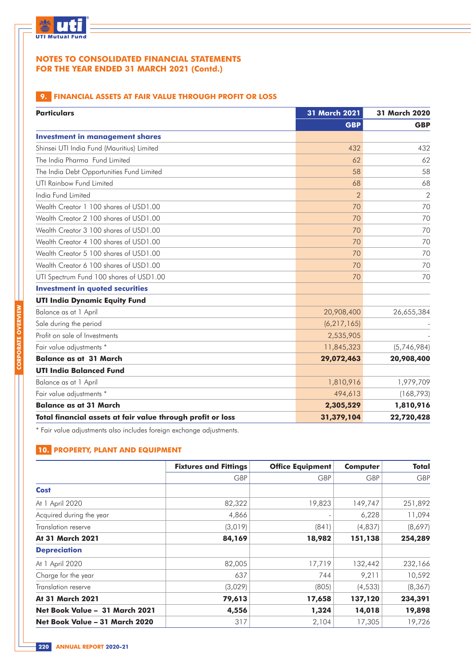

# **9. FINANCIAL ASSETS AT FAIR VALUE THROUGH PROFIT OR LOSS**

| <b>Particulars</b>                                          | <b>31 March 2021</b> | 31 March 2020  |
|-------------------------------------------------------------|----------------------|----------------|
|                                                             | <b>GBP</b>           | <b>GBP</b>     |
| <b>Investment in management shares</b>                      |                      |                |
| Shinsei UTI India Fund (Mauritius) Limited                  | 432                  | 432            |
| The India Pharma Fund Limited                               | 62                   | 62             |
| The India Debt Opportunities Fund Limited                   | 58                   | 58             |
| UTI Rainbow Fund Limited                                    | 68                   | 68             |
| India Fund Limited                                          | $\overline{2}$       | $\overline{2}$ |
| Wealth Creator 1 100 shares of USD1.00                      | 70                   | 70             |
| Wealth Creator 2 100 shares of USD1.00                      | 70                   | 70             |
| Wealth Creator 3 100 shares of USD1.00                      | 70                   | 70             |
| Wealth Creator 4 100 shares of USD1.00                      | 70                   | 70             |
| Wealth Creator 5 100 shares of USD1.00                      | 70                   | 70             |
| Wealth Creator 6 100 shares of USD1.00                      | 70                   | 70             |
| UTI Spectrum Fund 100 shares of USD1.00                     | 70                   | 70             |
| <b>Investment in quoted securities</b>                      |                      |                |
| <b>UTI India Dynamic Equity Fund</b>                        |                      |                |
| Balance as at 1 April                                       | 20,908,400           | 26,655,384     |
| Sale during the period                                      | (6, 217, 165)        |                |
| Profit on sale of Investments                               | 2,535,905            |                |
| Fair value adjustments *                                    | 11,845,323           | (5,746,984)    |
| <b>Balance as at 31 March</b>                               | 29,072,463           | 20,908,400     |
| <b>UTI India Balanced Fund</b>                              |                      |                |
| Balance as at 1 April                                       | 1,810,916            | 1,979,709      |
| Fair value adjustments *                                    | 494,613              | (168, 793)     |
| <b>Balance as at 31 March</b>                               | 2,305,529            | 1,810,916      |
| Total financial assets at fair value through profit or loss | 31,379,104           | 22,720,428     |

\* Fair value adjustments also includes foreign exchange adjustments.

# **10. PROPERTY, PLANT AND EQUIPMENT**

|                                | <b>Fixtures and Fittings</b> | <b>Office Equipment</b> | <b>Computer</b> | Total    |
|--------------------------------|------------------------------|-------------------------|-----------------|----------|
|                                | <b>GBP</b>                   | GBP                     | <b>GBP</b>      | GBP      |
| <b>Cost</b>                    |                              |                         |                 |          |
| At 1 April 2020                | 82,322                       | 19,823                  | 149,747         | 251,892  |
| Acquired during the year       | 4,866                        |                         | 6,228           | 11,094   |
| Translation reserve            | (3,019)                      | (841)                   | (4,837)         | (8,697)  |
| <b>At 31 March 2021</b>        | 84,169                       | 18,982                  | 151,138         | 254,289  |
| <b>Depreciation</b>            |                              |                         |                 |          |
| At 1 April 2020                | 82,005                       | 17,719                  | 132,442         | 232,166  |
| Charge for the year            | 637                          | 744                     | 9,211           | 10,592   |
| Translation reserve            | (3,029)                      | (805)                   | (4, 533)        | (8, 367) |
| <b>At 31 March 2021</b>        | 79,613                       | 17,658                  | 137,120         | 234,391  |
| Net Book Value - 31 March 2021 | 4,556                        | 1,324                   | 14,018          | 19,898   |
| Net Book Value - 31 March 2020 | 317                          | 2,104                   | 17,305          | 19,726   |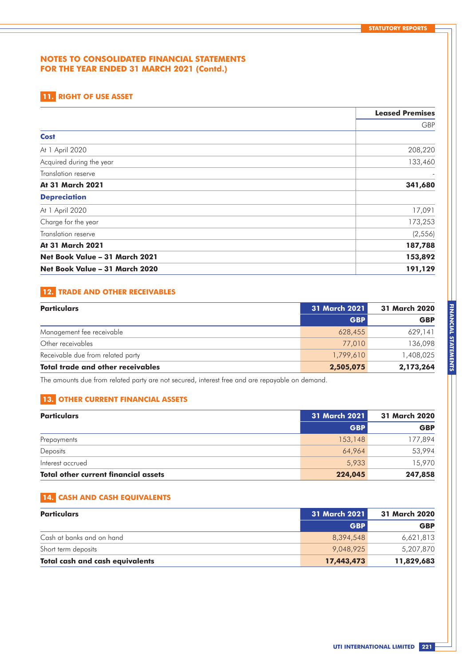# **11. RIGHT OF USE ASSET**

|                                | <b>Leased Premises</b> |
|--------------------------------|------------------------|
|                                | <b>GBP</b>             |
| <b>Cost</b>                    |                        |
| At 1 April 2020                | 208,220                |
| Acquired during the year       | 133,460                |
| Translation reserve            |                        |
| At 31 March 2021               | 341,680                |
| <b>Depreciation</b>            |                        |
| At 1 April 2020                | 17,091                 |
| Charge for the year            | 173,253                |
| Translation reserve            | (2, 556)               |
| <b>At 31 March 2021</b>        | 187,788                |
| Net Book Value - 31 March 2021 | 153,892                |
| Net Book Value - 31 March 2020 | 191,129                |

# **12. TRADE AND OTHER RECEIVABLES**

| <b>Particulars</b>                       | <b>31 March 2021</b><br><b>31 March 2020</b> |            |
|------------------------------------------|----------------------------------------------|------------|
|                                          | <b>GBP</b>                                   | <b>GBP</b> |
| Management fee receivable                | 628,455                                      | 629,141    |
| Other receivables                        | 77,010                                       | 136,098    |
| Receivable due from related party        | 1,799,610                                    | 1,408,025  |
| <b>Total trade and other receivables</b> | 2,505,075                                    | 2,173,264  |

The amounts due from related party are not secured, interest free and are repayable on demand.

# **13. OTHER CURRENT FINANCIAL ASSETS**

| <b>Particulars</b>                          | 31 March 2021 | <b>31 March 2020</b> |
|---------------------------------------------|---------------|----------------------|
|                                             | <b>GBP</b>    | <b>GBP</b>           |
| Prepayments                                 | 153,148       | 177,894              |
| Deposits                                    | 64,964        | 53,994               |
| Interest accrued                            | 5,933         | 15,970               |
| <b>Total other current financial assets</b> | 224,045       | 247,858              |

# **14. CASH AND CASH EQUIVALENTS**

| <b>Particulars</b>                     | 31 March 2021 | <b>31 March 2020</b> |
|----------------------------------------|---------------|----------------------|
|                                        | <b>GBP</b>    | <b>GBP</b>           |
| Cash at banks and on hand              | 8,394,548     | 6,621,813            |
| Short term deposits                    | 9,048,925     | 5,207,870            |
| <b>Total cash and cash equivalents</b> | 17,443,473    | 11,829,683           |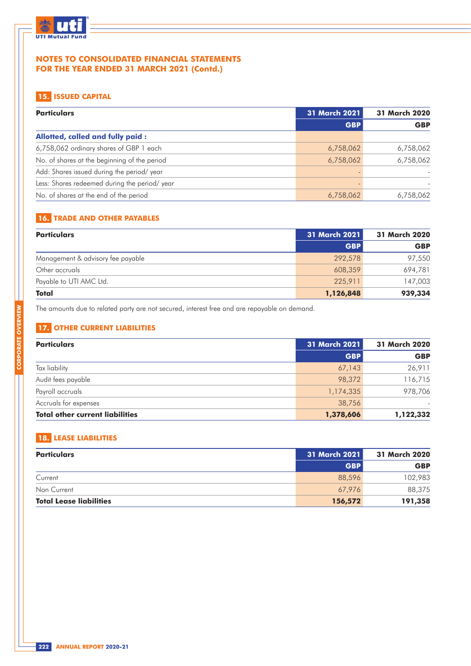

# **15. ISSUED CAPITAL**

| <b>Particulars</b>                           | 31 March 2021<br><b>31 March 2020</b> |            |
|----------------------------------------------|---------------------------------------|------------|
|                                              | <b>GBP</b>                            | <b>GBP</b> |
| <b>Allotted, called and fully paid:</b>      |                                       |            |
| 6,758,062 ordinary shares of GBP 1 each      | 6,758,062                             | 6,758,062  |
| No. of shares at the beginning of the period | 6,758,062                             | 6,758,062  |
| Add: Shares issued during the period/year    |                                       |            |
| Less: Shares redeemed during the period/year |                                       |            |
| No. of shares at the end of the period       | 6,758,062                             | 6,758,062  |

# **16. TRADE AND OTHER PAYABLES**

| <b>Particulars</b>                | 31 March 2021 |            |
|-----------------------------------|---------------|------------|
|                                   | <b>GBP</b>    | <b>GBP</b> |
| Management & advisory fee payable | 292,578       | 97,550     |
| Other accruals                    | 608,359       | 694,781    |
| Payable to UTI AMC Ltd.           | 225,911       | 147,003    |
| Total                             | 1,126,848     | 939,334    |

The amounts due to related party are not secured, interest free and are repayable on demand.

# **17. OTHER CURRENT LIABILITIES**

| <b>Particulars</b>                     | 31 March 2021 | <b>31 March 2020</b> |
|----------------------------------------|---------------|----------------------|
|                                        | <b>GBP</b>    | <b>GBP</b>           |
| Tax liability                          | 67,143        | 26,911               |
| Audit fees payable                     | 98,372        | 116,715              |
| Payroll accruals                       | 1,174,335     | 978,706              |
| Accruals for expenses                  | 38,756        |                      |
| <b>Total other current liabilities</b> | 1,378,606     | 1,122,332            |

# **18. LEASE LIABILITIES**

| <b>Particulars</b>             | 31 March 2021 | <b>31 March 2020</b> |
|--------------------------------|---------------|----------------------|
|                                | <b>GBP</b>    | <b>GBP</b>           |
| Current                        | 88,596        | 102,983              |
| Non Current                    | 67.976        | 88,375               |
| <b>Total Lease liabilities</b> | 156,572       | 191,358              |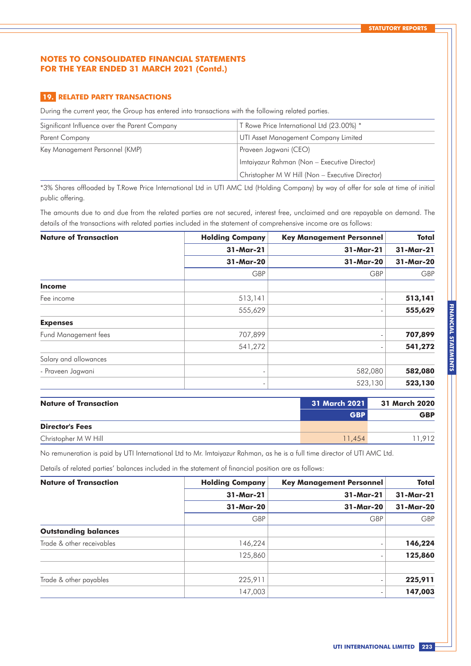# **19. RELATED PARTY TRANSACTIONS**

During the current year, the Group has entered into transactions with the following related parties.

| Significant Influence over the Parent Company | T Rowe Price International Ltd (23.00%) *       |
|-----------------------------------------------|-------------------------------------------------|
| Parent Company                                | UTI Asset Management Company Limited            |
| Key Management Personnel (KMP)                | Praveen Jagwani (CEO)                           |
|                                               | Imtaiyazur Rahman (Non - Executive Director)    |
|                                               | Christopher M W Hill (Non - Executive Director) |

\*3% Shares offloaded by T.Rowe Price International Ltd in UTI AMC Ltd (Holding Company) by way of offer for sale at time of initial public offering.

The amounts due to and due from the related parties are not secured, interest free, unclaimed and are repayable on demand. The details of the transactions with related parties included in the statement of comprehensive income are as follows:

| <b>Nature of Transaction</b> | <b>Holding Company</b>   | <b>Key Management Personnel</b> | <b>Total</b> |  |
|------------------------------|--------------------------|---------------------------------|--------------|--|
|                              | 31-Mar-21                | 31-Mar-21                       | 31-Mar-21    |  |
|                              | 31-Mar-20                | 31-Mar-20                       | 31-Mar-20    |  |
|                              | <b>GBP</b>               | GBP                             | GBP          |  |
| <b>Income</b>                |                          |                                 |              |  |
| Fee income                   | 513,141                  | ٠                               | 513,141      |  |
|                              | 555,629                  | $\overline{\phantom{a}}$        | 555,629      |  |
| <b>Expenses</b>              |                          |                                 |              |  |
| Fund Management fees         | 707,899                  | $\overline{\phantom{a}}$        | 707,899      |  |
|                              | 541,272                  | ٠                               | 541,272      |  |
| Salary and allowances        |                          |                                 |              |  |
| - Praveen Jagwani            | $\overline{\phantom{a}}$ | 582,080                         | 582,080      |  |
|                              |                          | 523,130                         | 523,130      |  |

| <b>Nature of Transaction</b> | 31 March 2021 l | <b>31 March 2020</b> |  |
|------------------------------|-----------------|----------------------|--|
|                              | <b>GBP</b>      | <b>GBP</b>           |  |
| <b>Director's Fees</b>       |                 |                      |  |
| Christopher M W Hill         | 11.454          | 1,912                |  |

No remuneration is paid by UTI International Ltd to Mr. Imtaiyazur Rahman, as he is a full time director of UTI AMC Ltd.

Details of related parties' balances included in the statement of financial position are as follows:

| <b>Nature of Transaction</b> | <b>Holding Company</b> | <b>Key Management Personnel</b> | <b>Total</b> |
|------------------------------|------------------------|---------------------------------|--------------|
|                              | 31-Mar-21              | 31-Mar-21                       | 31-Mar-21    |
|                              | 31-Mar-20              | 31-Mar-20                       | 31-Mar-20    |
|                              | <b>GBP</b>             | GBP                             | GBP          |
| <b>Outstanding balances</b>  |                        |                                 |              |
| Trade & other receivables    | 146,224                | $\overline{\phantom{a}}$        | 146,224      |
|                              | 125,860                | $\overline{\phantom{a}}$        | 125,860      |
| Trade & other payables       | 225,911                | $\overline{\phantom{a}}$        | 225,911      |
|                              | 147,003                | $\overline{\phantom{a}}$        | 147,003      |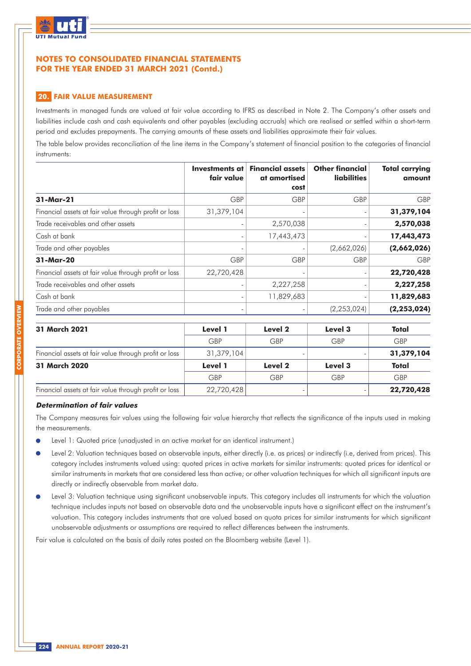

# **20. FAIR VALUE MEASUREMENT**

Investments in managed funds are valued at fair value according to IFRS as described in Note 2. The Company's other assets and liabilities include cash and cash equivalents and other payables (excluding accruals) which are realised or settled within a short-term period and excludes prepayments. The carrying amounts of these assets and liabilities approximate their fair values.

The table below provides reconciliation of the line items in the Company's statement of financial position to the categories of financial instruments:

|                                                       | Investments at<br>fair value | <b>Financial assets</b><br>at amortised | <b>Other financial</b><br>liabilities | <b>Total carrying</b><br>amount |
|-------------------------------------------------------|------------------------------|-----------------------------------------|---------------------------------------|---------------------------------|
|                                                       |                              | cost                                    |                                       |                                 |
| 31-Mar-21                                             | GBP                          | GBP                                     | GBP                                   | GBP                             |
| Financial assets at fair value through profit or loss | 31, 379, 104                 |                                         |                                       | 31,379,104                      |
| Trade receivables and other assets                    |                              | 2,570,038                               |                                       | 2,570,038                       |
| Cash at bank                                          |                              | 17,443,473                              |                                       | 17,443,473                      |
| Trade and other payables                              |                              |                                         | (2,662,026)                           | (2,662,026)                     |
| 31-Mar-20                                             | GBP                          | GBP                                     | GBP                                   | GBP                             |
| Financial assets at fair value through profit or loss | 22,720,428                   |                                         |                                       | 22,720,428                      |
| Trade receivables and other assets                    |                              | 2,227,258                               |                                       | 2,227,258                       |
| Cash at bank                                          |                              | 11,829,683                              |                                       | 11,829,683                      |
| Trade and other payables                              |                              |                                         | (2, 253, 024)                         | (2, 253, 024)                   |

| <b>31 March 2021</b>                                  | Level 1    | Level 2 | Level 3 | Total      |
|-------------------------------------------------------|------------|---------|---------|------------|
|                                                       | GBP        | GBP     | GBP     | GBP        |
| Financial assets at fair value through profit or loss | 31,379,104 |         |         | 31,379,104 |
| <b>31 March 2020</b>                                  | Level 1    | Level 2 | Level 3 | Total      |
|                                                       | GBP        | GBP     | GBP     | GBP        |
| Financial assets at fair value through profit or loss | 22,720,428 |         |         | 22,720,428 |

### **Determination of fair values**

The Company measures fair values using the following fair value hierarchy that reflects the significance of the inputs used in making the measurements.

- Level 1: Quoted price (unadjusted in an active market for an identical instrument.)
- Level 2: Valuation techniques based on observable inputs, either directly (i.e. as prices) or indirectly (i.e, derived from prices). This category includes instruments valued using: quoted prices in active markets for similar instruments: quoted prices for identical or similar instruments in markets that are considered less than active; or other valuation techniques for which all significant inputs are directly or indirectly observable from market data.
- Level 3: Valuation technique using significant unobservable inputs. This category includes all instruments for which the valuation technique includes inputs not based on observable data and the unobservable inputs have a significant effect on the instrument's valuation. This category includes instruments that are valued based on quota prices for similar instruments for which significant unobservable adjustments or assumptions are required to reflect differences between the instruments.

Fair value is calculated on the basis of daily rates posted on the Bloomberg website (Level 1).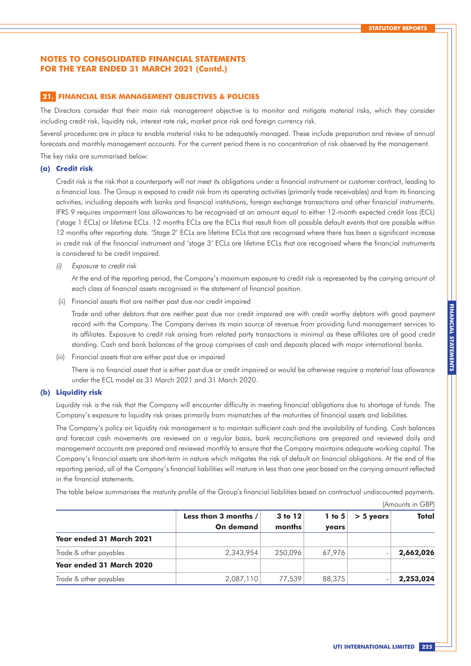#### **21. FINANCIAL RISK MANAGEMENT OBJECTIVES & POLICIES**

The Directors consider that their main risk management objective is to monitor and mitigate material risks, which they consider including credit risk, liquidity risk, interest rate risk, market price risk and foreign currency risk.

Several procedures are in place to enable material risks to be adequately managed. These include preparation and review of annual forecasts and monthly management accounts. For the current period there is no concentration of risk observed by the management.

The key risks are summarised below:

#### **(a) Credit risk**

Credit risk is the risk that a counterparty will not meet its obligations under a financial instrument or customer contract, leading to a financial loss. The Group is exposed to credit risk from its operating activities (primarily trade receivables) and from its financing activities, including deposits with banks and financial institutions, foreign exchange transactions and other financial instruments. IFRS 9 requires impairment loss allowances to be recognised at an amount equal to either 12-month expected credit loss (ECL) ('stage 1 ECLs) or lifetime ECLs. 12 months ECLs are the ECLs that result from all possible default events that are possible within 12 months after reporting date. 'Stage 2' ECLs are lifetime ECLs that are recognised where there has been a significant increase in credit risk of the financial instrument and 'stage 3' ECLs are lifetime ECLs that are recognised where the financial instruments is considered to be credit impaired.

(i) Exposure to credit risk

At the end of the reporting period, the Company's maximum exposure to credit risk is represented by the carrying amount of each class of financial assets recognised in the statement of financial position.

(ii) Financial assets that are neither past due nor credit impaired

Trade and other debtors that are neither past due nor credit impaired are with credit worthy debtors with good payment record with the Company. The Company derives its main source of revenue from providing fund management services to its affiliates. Exposure to credit risk arising from related party transactions is minimal as these affiliates are of good credit standing. Cash and bank balances of the group comprises of cash and deposits placed with major international banks.

(iii) Financial assets that are either past due or impaired

There is no financial asset that is either past due or credit impaired or would be otherwise require a material loss allowance under the ECL model as 31 March 2021 and 31 March 2020.

#### **(b) Liquidity risk**

Liquidity risk is the risk that the Company will encounter difficulty in meeting financial obligations due to shortage of funds. The Company's exposure to liquidity risk arises primarily from mismatches of the maturities of financial assets and liabilities.

The Company's policy on liquidity risk management is to maintain sufficient cash and the availability of funding. Cash balances and forecast cash movements are reviewed on a regular basis, bank reconciliations are prepared and reviewed daily and management accounts are prepared and reviewed monthly to ensure that the Company maintains adequate working capital. The Company's financial assets are short-term in nature which mitigates the risk of default on financial obligations. At the end of the reporting period, all of the Company's financial liabilities will mature in less than one year based on the carrying amount reflected in the financial statements.

The table below summarises the maturity profile of the Group's financial liabilities based on contractual undiscounted payments.

|                                 | Less than 3 months /<br>On demand | 3 to 12<br>months | 1 to $51$<br>years | $> 5$ years              | Total     |
|---------------------------------|-----------------------------------|-------------------|--------------------|--------------------------|-----------|
| <b>Year ended 31 March 2021</b> |                                   |                   |                    |                          |           |
| Trade & other payables          | 2,343,954                         | 250,096           | 67.976             | $\overline{\phantom{0}}$ | 2,662,026 |
| <b>Year ended 31 March 2020</b> |                                   |                   |                    |                          |           |
| Trade & other payables          | 2,087,110                         | 77,539            | 88,375             | $\overline{\phantom{0}}$ | 2,253,024 |

(Amounts in GBP)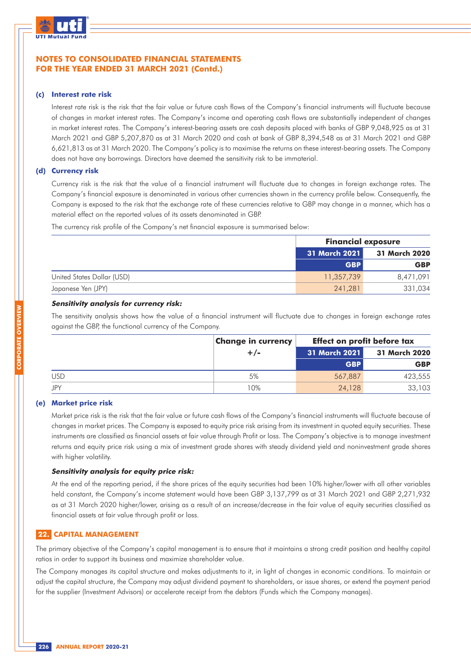

#### **(c) Interest rate risk**

Interest rate risk is the risk that the fair value or future cash flows of the Company's financial instruments will fluctuate because of changes in market interest rates. The Company's income and operating cash flows are substantially independent of changes in market interest rates. The Company's interest-bearing assets are cash deposits placed with banks of GBP 9,048,925 as at 31 March 2021 and GBP 5,207,870 as at 31 March 2020 and cash at bank of GBP 8,394,548 as at 31 March 2021 and GBP 6,621,813 as at 31 March 2020. The Company's policy is to maximise the returns on these interest-bearing assets. The Company does not have any borrowings. Directors have deemed the sensitivity risk to be immaterial.

#### **(d) Currency risk**

Currency risk is the risk that the value of a financial instrument will fluctuate due to changes in foreign exchange rates. The Company's financial exposure is denominated in various other currencies shown in the currency profile below. Consequently, the Company is exposed to the risk that the exchange rate of these currencies relative to GBP may change in a manner, which has a material effect on the reported values of its assets denominated in GBP.

The currency risk profile of the Company's net financial exposure is summarised below:

|                            | <b>Financial exposure</b>               |            |  |
|----------------------------|-----------------------------------------|------------|--|
|                            | 31 March 2021 l<br><b>31 March 2020</b> |            |  |
|                            | <b>GBP</b>                              | <b>GBP</b> |  |
| United States Dollar (USD) | 11,357,739                              | 8,471,091  |  |
| Japanese Yen (JPY)         | 241,281                                 | 331,034    |  |

#### **Sensitivity analysis for currency risk:**

The sensitivity analysis shows how the value of a financial instrument will fluctuate due to changes in foreign exchange rates against the GBP, the functional currency of the Company.

|            | <b>Change in currency</b> | <b>Effect on profit before tax</b> |                      |
|------------|---------------------------|------------------------------------|----------------------|
|            | $+/-$                     | 31 March 2021                      | <b>31 March 2020</b> |
|            |                           | <b>GBP</b>                         | <b>GBP</b>           |
| <b>USD</b> | 5%                        | 567,887                            | 423,555              |
| JPY        | 10%                       | 24,128                             | 33,103               |

#### **(e) Market price risk**

Market price risk is the risk that the fair value or future cash flows of the Company's financial instruments will fluctuate because of changes in market prices. The Company is exposed to equity price risk arising from its investment in quoted equity securities. These instruments are classified as financial assets at fair value through Profit or loss. The Company's objective is to manage investment returns and equity price risk using a mix of investment grade shares with steady dividend yield and noninvestment grade shares with higher volatility.

#### **Sensitivity analysis for equity price risk:**

At the end of the reporting period, if the share prices of the equity securities had been 10% higher/lower with all other variables held constant, the Company's income statement would have been GBP 3,137,799 as at 31 March 2021 and GBP 2,271,932 as at 31 March 2020 higher/lower, arising as a result of an increase/decrease in the fair value of equity securities classified as financial assets at fair value through profit or loss.

#### **22. CAPITAL MANAGEMENT**

The primary objective of the Company's capital management is to ensure that it maintains a strong credit position and healthy capital ratios in order to support its business and maximize shareholder value.

The Company manages its capital structure and makes adjustments to it, in light of changes in economic conditions. To maintain or adjust the capital structure, the Company may adjust dividend payment to shareholders, or issue shares, or extend the payment period for the supplier (Investment Advisors) or accelerate receipt from the debtors (Funds which the Company manages).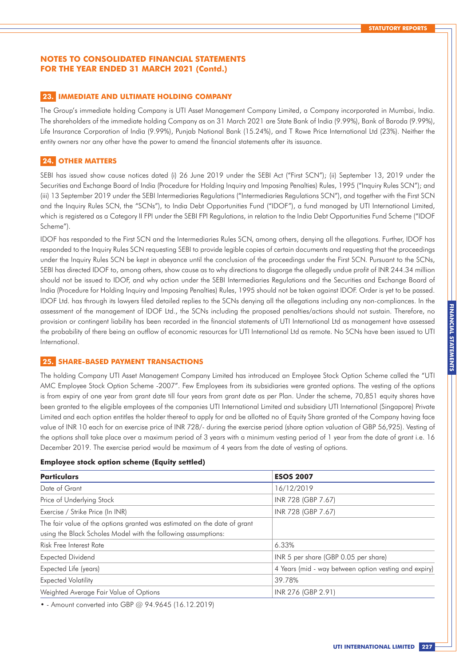#### **23. IMMEDIATE AND ULTIMATE HOLDING COMPANY**

The Group's immediate holding Company is UTI Asset Management Company Limited, a Company incorporated in Mumbai, India. The shareholders of the immediate holding Company as on 31 March 2021 are State Bank of India (9.99%), Bank of Baroda (9.99%), Life Insurance Corporation of India (9.99%), Punjab National Bank (15.24%), and T Rowe Price International Ltd (23%). Neither the entity owners nor any other have the power to amend the financial statements after its issuance.

# **24. OTHER MATTERS**

SEBI has issued show cause notices dated (i) 26 June 2019 under the SEBI Act ("First SCN"); (ii) September 13, 2019 under the Securities and Exchange Board of India (Procedure for Holding Inquiry and Imposing Penalties) Rules, 1995 ("Inquiry Rules SCN"); and (iii) 13 September 2019 under the SEBI Intermediaries Regulations ("Intermediaries Regulations SCN"), and together with the First SCN and the Inquiry Rules SCN, the "SCNs"), to India Debt Opportunities Fund ("IDOF"), a fund managed by UTI International Limited, which is registered as a Category II FPI under the SEBI FPI Regulations, in relation to the India Debt Opportunities Fund Scheme ("IDOF Scheme").

IDOF has responded to the First SCN and the Intermediaries Rules SCN, among others, denying all the allegations. Further, IDOF has responded to the Inquiry Rules SCN requesting SEBI to provide legible copies of certain documents and requesting that the proceedings under the Inquiry Rules SCN be kept in abeyance until the conclusion of the proceedings under the First SCN. Pursuant to the SCNs, SEBI has directed IDOF to, among others, show cause as to why directions to disgorge the allegedly undue profit of INR 244.34 million should not be issued to IDOF, and why action under the SEBI Intermediaries Regulations and the Securities and Exchange Board of India (Procedure for Holding Inquiry and Imposing Penalties) Rules, 1995 should not be taken against IDOF. Order is yet to be passed. IDOF Ltd. has through its lawyers filed detailed replies to the SCNs denying all the allegations including any non-compliances. In the assessment of the management of IDOF Ltd., the SCNs including the proposed penalties/actions should not sustain. Therefore, no provision or contingent liability has been recorded in the financial statements of UTI International Ltd as management have assessed the probability of there being an outflow of economic resources for UTI International Ltd as remote. No SCNs have been issued to UTI International.

#### **25. SHARE-BASED PAYMENT TRANSACTIONS**

The holding Company UTI Asset Management Company Limited has introduced an Employee Stock Option Scheme called the "UTI AMC Employee Stock Option Scheme -2007". Few Employees from its subsidiaries were granted options. The vesting of the options is from expiry of one year from grant date till four years from grant date as per Plan. Under the scheme, 70,851 equity shares have been granted to the eligible employees of the companies UTI International Limited and subsidiary UTI International (Singapore) Private Limited and each option entitles the holder thereof to apply for and be allotted no of Equity Share granted of the Company having face value of INR 10 each for an exercise price of INR 728/- during the exercise period (share option valuation of GBP 56,925). Vesting of the options shall take place over a maximum period of 3 years with a minimum vesting period of 1 year from the date of grant i.e. 16 December 2019. The exercise period would be maximum of 4 years from the date of vesting of options.

| <b>ESOS 2007</b>                                      |
|-------------------------------------------------------|
| 16/12/2019                                            |
| INR 728 (GBP 7.67)                                    |
| INR 728 (GBP 7.67)                                    |
|                                                       |
|                                                       |
| 6.33%                                                 |
| INR 5 per share (GBP 0.05 per share)                  |
| 4 Years (mid - way between option vesting and expiry) |
| 39.78%                                                |
| INR 276 (GBP 2.91)                                    |
|                                                       |

### **Employee stock option scheme (Equity settled)**

• - Amount converted into GBP @ 94.9645 (16.12.2019)